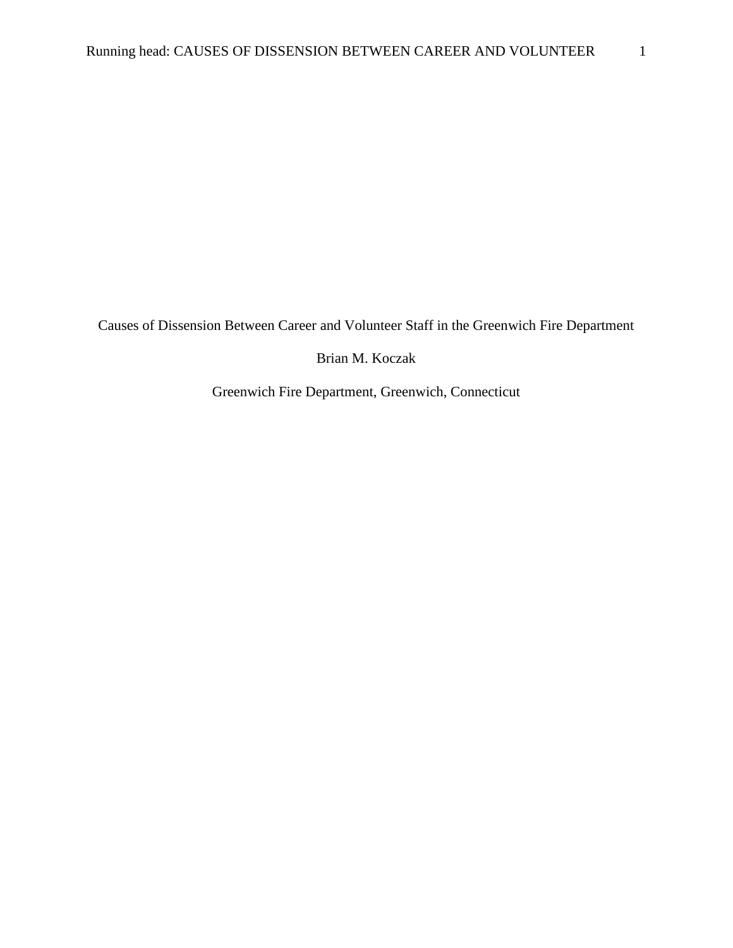Causes of Dissension Between Career and Volunteer Staff in the Greenwich Fire Department

Brian M. Koczak

Greenwich Fire Department, Greenwich, Connecticut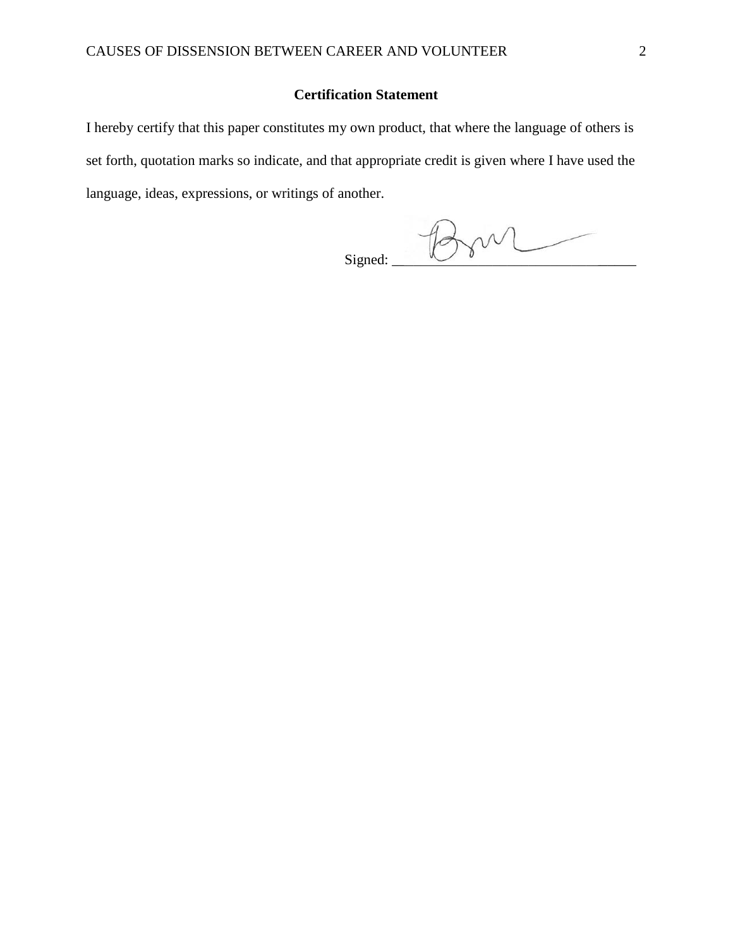### **Certification Statement**

I hereby certify that this paper constitutes my own product, that where the language of others is set forth, quotation marks so indicate, and that appropriate credit is given where I have used the language, ideas, expressions, or writings of another.

 $Signed: 100000$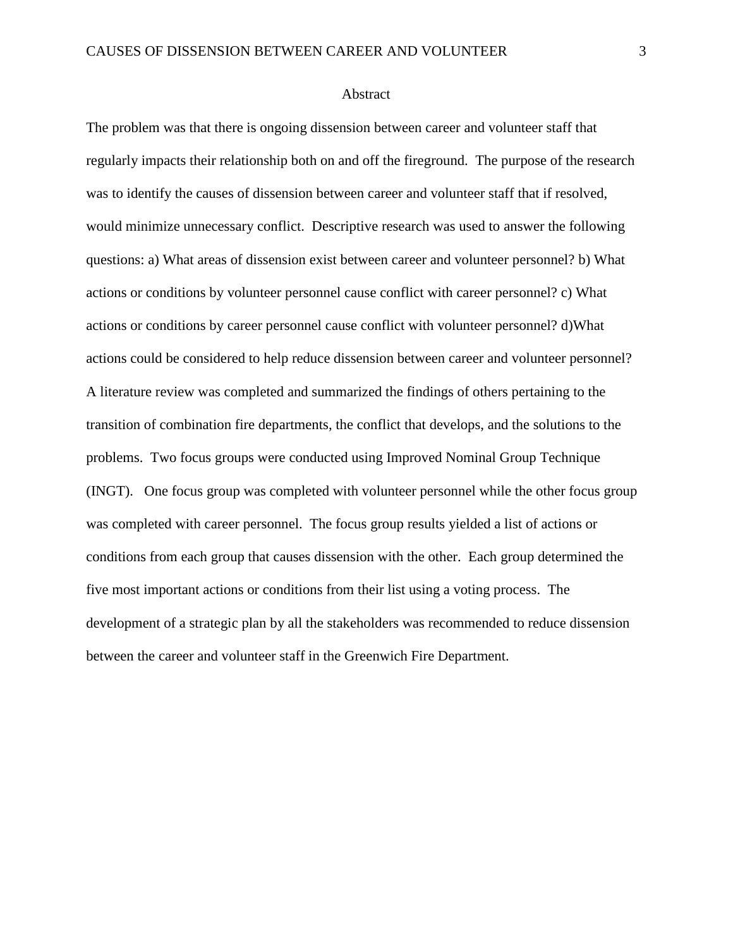#### Abstract

The problem was that there is ongoing dissension between career and volunteer staff that regularly impacts their relationship both on and off the fireground. The purpose of the research was to identify the causes of dissension between career and volunteer staff that if resolved, would minimize unnecessary conflict. Descriptive research was used to answer the following questions: a) What areas of dissension exist between career and volunteer personnel? b) What actions or conditions by volunteer personnel cause conflict with career personnel? c) What actions or conditions by career personnel cause conflict with volunteer personnel? d)What actions could be considered to help reduce dissension between career and volunteer personnel? A literature review was completed and summarized the findings of others pertaining to the transition of combination fire departments, the conflict that develops, and the solutions to the problems. Two focus groups were conducted using Improved Nominal Group Technique (INGT). One focus group was completed with volunteer personnel while the other focus group was completed with career personnel. The focus group results yielded a list of actions or conditions from each group that causes dissension with the other. Each group determined the five most important actions or conditions from their list using a voting process. The development of a strategic plan by all the stakeholders was recommended to reduce dissension between the career and volunteer staff in the Greenwich Fire Department.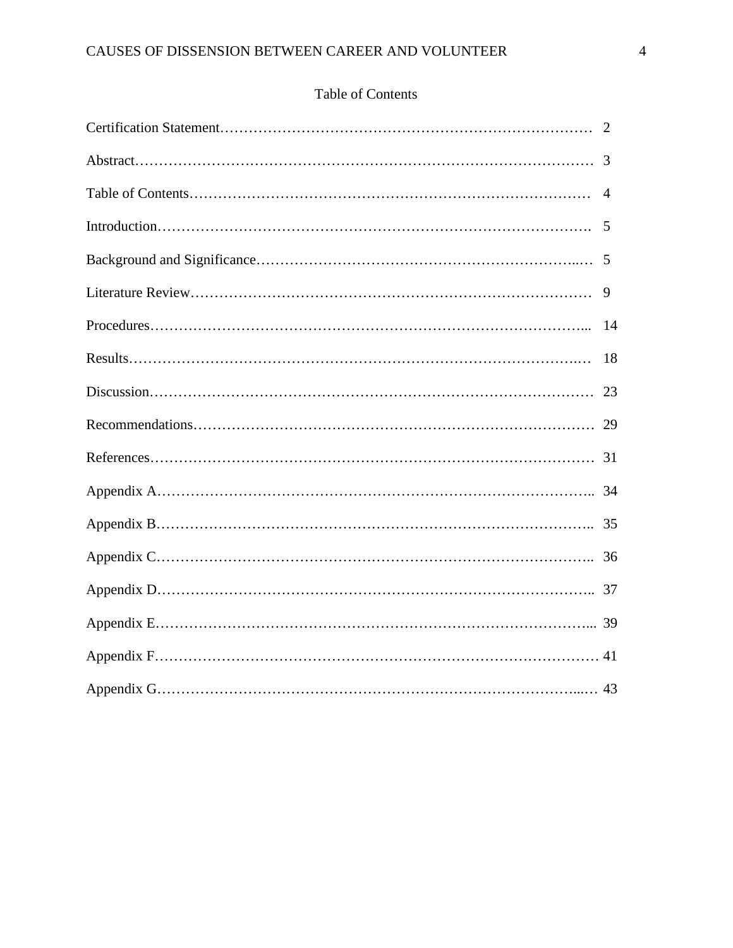## Table of Contents

| 5  |
|----|
|    |
| 9  |
|    |
| 18 |
|    |
|    |
|    |
|    |
|    |
|    |
|    |
|    |
|    |
|    |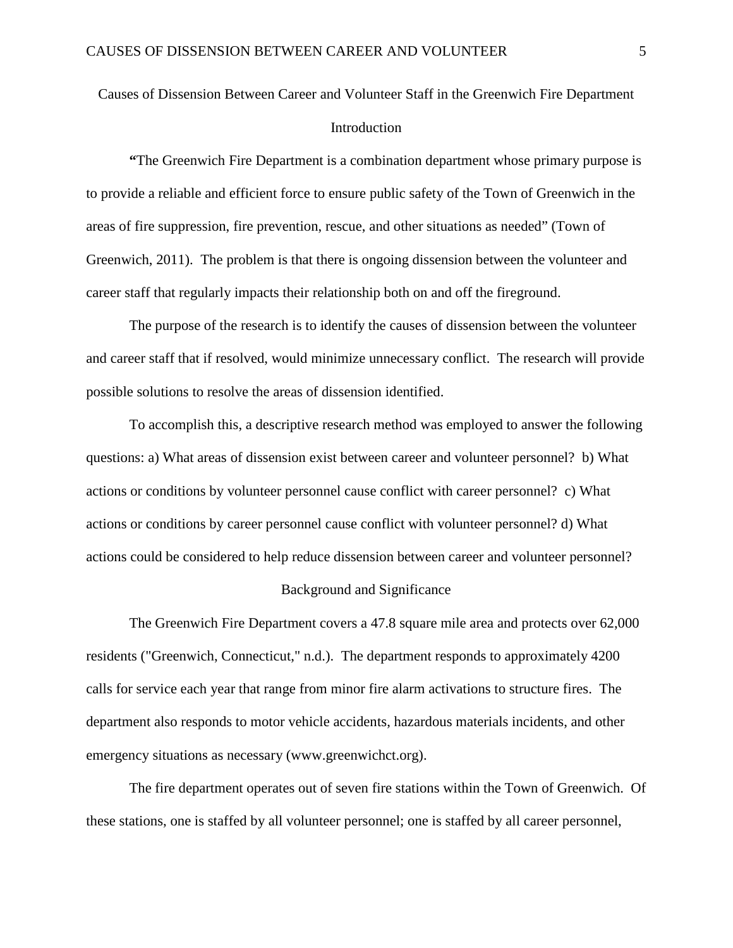# Causes of Dissension Between Career and Volunteer Staff in the Greenwich Fire Department **Introduction**

**"**The Greenwich Fire Department is a combination department whose primary purpose is to provide a reliable and efficient force to ensure public safety of the Town of Greenwich in the areas of fire suppression, fire prevention, rescue, and other situations as needed" (Town of Greenwich, 2011). The problem is that there is ongoing dissension between the volunteer and career staff that regularly impacts their relationship both on and off the fireground.

The purpose of the research is to identify the causes of dissension between the volunteer and career staff that if resolved, would minimize unnecessary conflict. The research will provide possible solutions to resolve the areas of dissension identified.

To accomplish this, a descriptive research method was employed to answer the following questions: a) What areas of dissension exist between career and volunteer personnel? b) What actions or conditions by volunteer personnel cause conflict with career personnel? c) What actions or conditions by career personnel cause conflict with volunteer personnel? d) What actions could be considered to help reduce dissension between career and volunteer personnel?

#### Background and Significance

The Greenwich Fire Department covers a 47.8 square mile area and protects over 62,000 residents ("Greenwich, Connecticut," n.d.). The department responds to approximately 4200 calls for service each year that range from minor fire alarm activations to structure fires. The department also responds to motor vehicle accidents, hazardous materials incidents, and other emergency situations as necessary (www.greenwichct.org).

The fire department operates out of seven fire stations within the Town of Greenwich. Of these stations, one is staffed by all volunteer personnel; one is staffed by all career personnel,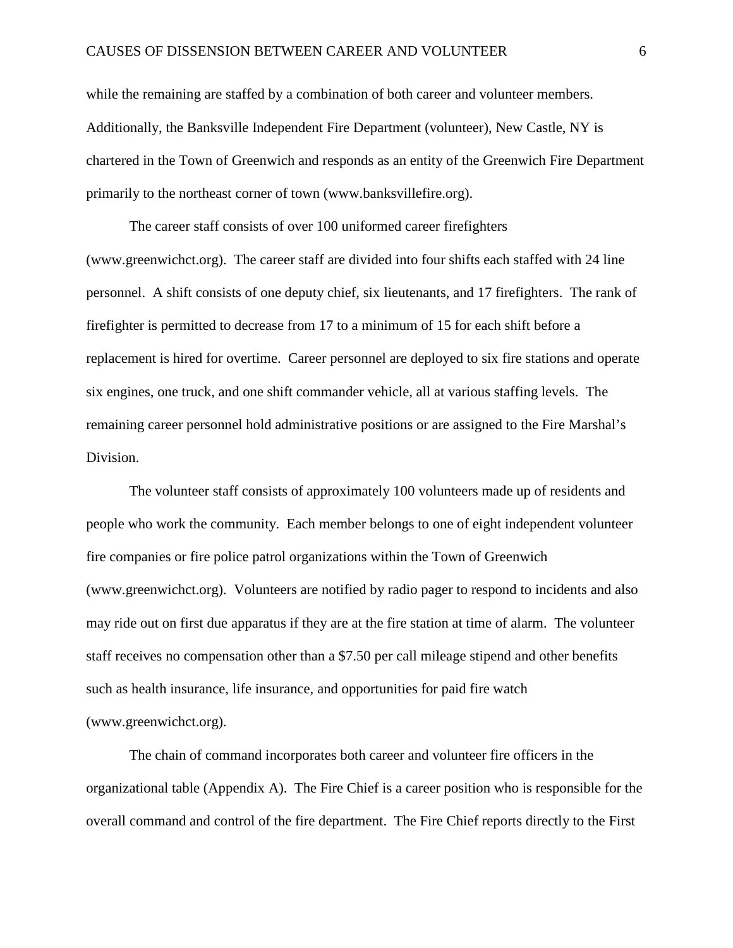while the remaining are staffed by a combination of both career and volunteer members. Additionally, the Banksville Independent Fire Department (volunteer), New Castle, NY is chartered in the Town of Greenwich and responds as an entity of the Greenwich Fire Department primarily to the northeast corner of town (www.banksvillefire.org).

The career staff consists of over 100 uniformed career firefighters (www.greenwichct.org). The career staff are divided into four shifts each staffed with 24 line personnel. A shift consists of one deputy chief, six lieutenants, and 17 firefighters. The rank of firefighter is permitted to decrease from 17 to a minimum of 15 for each shift before a replacement is hired for overtime. Career personnel are deployed to six fire stations and operate six engines, one truck, and one shift commander vehicle, all at various staffing levels. The remaining career personnel hold administrative positions or are assigned to the Fire Marshal's Division.

The volunteer staff consists of approximately 100 volunteers made up of residents and people who work the community. Each member belongs to one of eight independent volunteer fire companies or fire police patrol organizations within the Town of Greenwich (www.greenwichct.org). Volunteers are notified by radio pager to respond to incidents and also may ride out on first due apparatus if they are at the fire station at time of alarm. The volunteer staff receives no compensation other than a \$7.50 per call mileage stipend and other benefits such as health insurance, life insurance, and opportunities for paid fire watch (www.greenwichct.org).

The chain of command incorporates both career and volunteer fire officers in the organizational table (Appendix A). The Fire Chief is a career position who is responsible for the overall command and control of the fire department. The Fire Chief reports directly to the First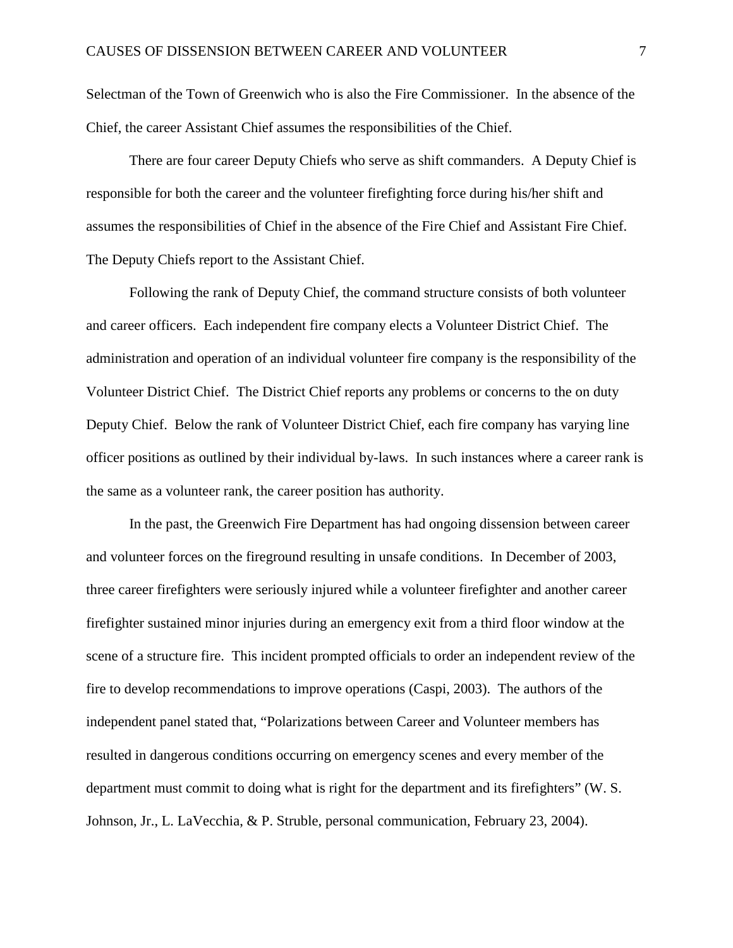Selectman of the Town of Greenwich who is also the Fire Commissioner. In the absence of the Chief, the career Assistant Chief assumes the responsibilities of the Chief.

There are four career Deputy Chiefs who serve as shift commanders. A Deputy Chief is responsible for both the career and the volunteer firefighting force during his/her shift and assumes the responsibilities of Chief in the absence of the Fire Chief and Assistant Fire Chief. The Deputy Chiefs report to the Assistant Chief.

Following the rank of Deputy Chief, the command structure consists of both volunteer and career officers. Each independent fire company elects a Volunteer District Chief. The administration and operation of an individual volunteer fire company is the responsibility of the Volunteer District Chief. The District Chief reports any problems or concerns to the on duty Deputy Chief. Below the rank of Volunteer District Chief, each fire company has varying line officer positions as outlined by their individual by-laws. In such instances where a career rank is the same as a volunteer rank, the career position has authority.

In the past, the Greenwich Fire Department has had ongoing dissension between career and volunteer forces on the fireground resulting in unsafe conditions. In December of 2003, three career firefighters were seriously injured while a volunteer firefighter and another career firefighter sustained minor injuries during an emergency exit from a third floor window at the scene of a structure fire. This incident prompted officials to order an independent review of the fire to develop recommendations to improve operations (Caspi, 2003). The authors of the independent panel stated that, "Polarizations between Career and Volunteer members has resulted in dangerous conditions occurring on emergency scenes and every member of the department must commit to doing what is right for the department and its firefighters" (W. S. Johnson, Jr., L. LaVecchia, & P. Struble, personal communication, February 23, 2004).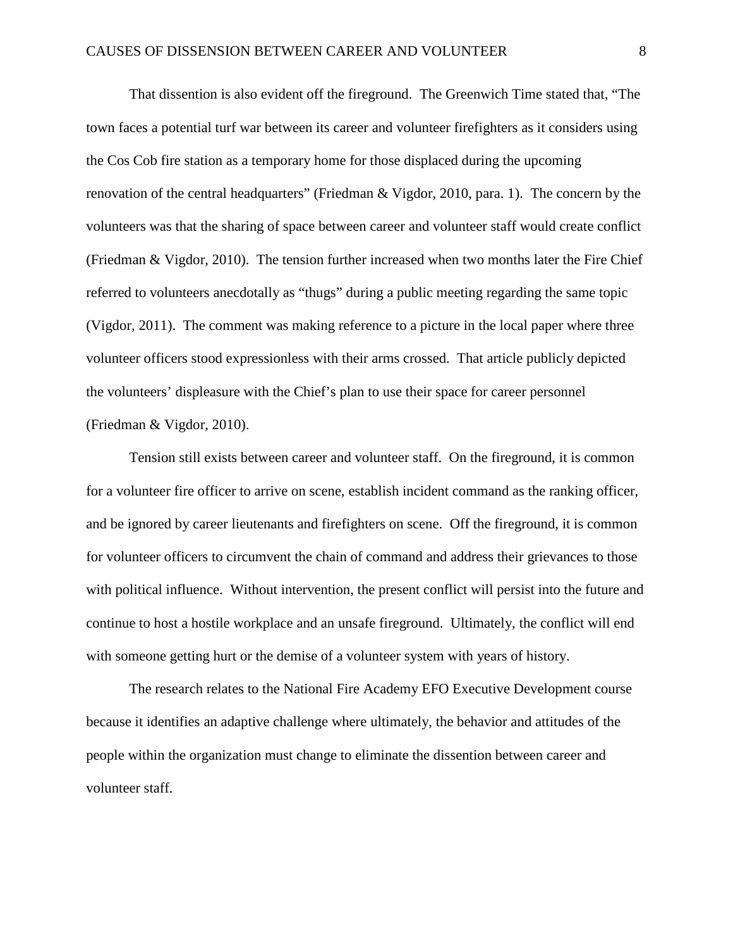That dissention is also evident off the fireground. The Greenwich Time stated that, "The town faces a potential turf war between its career and volunteer firefighters as it considers using the Cos Cob fire station as a temporary home for those displaced during the upcoming renovation of the central headquarters" (Friedman & Vigdor, 2010, para. 1). The concern by the volunteers was that the sharing of space between career and volunteer staff would create conflict (Friedman & Vigdor, 2010). The tension further increased when two months later the Fire Chief referred to volunteers anecdotally as "thugs" during a public meeting regarding the same topic (Vigdor, 2011). The comment was making reference to a picture in the local paper where three volunteer officers stood expressionless with their arms crossed. That article publicly depicted the volunteers' displeasure with the Chief's plan to use their space for career personnel (Friedman & Vigdor, 2010).

Tension still exists between career and volunteer staff. On the fireground, it is common for a volunteer fire officer to arrive on scene, establish incident command as the ranking officer, and be ignored by career lieutenants and firefighters on scene. Off the fireground, it is common for volunteer officers to circumvent the chain of command and address their grievances to those with political influence. Without intervention, the present conflict will persist into the future and continue to host a hostile workplace and an unsafe fireground. Ultimately, the conflict will end with someone getting hurt or the demise of a volunteer system with years of history.

The research relates to the National Fire Academy EFO Executive Development course because it identifies an adaptive challenge where ultimately, the behavior and attitudes of the people within the organization must change to eliminate the dissention between career and volunteer staff.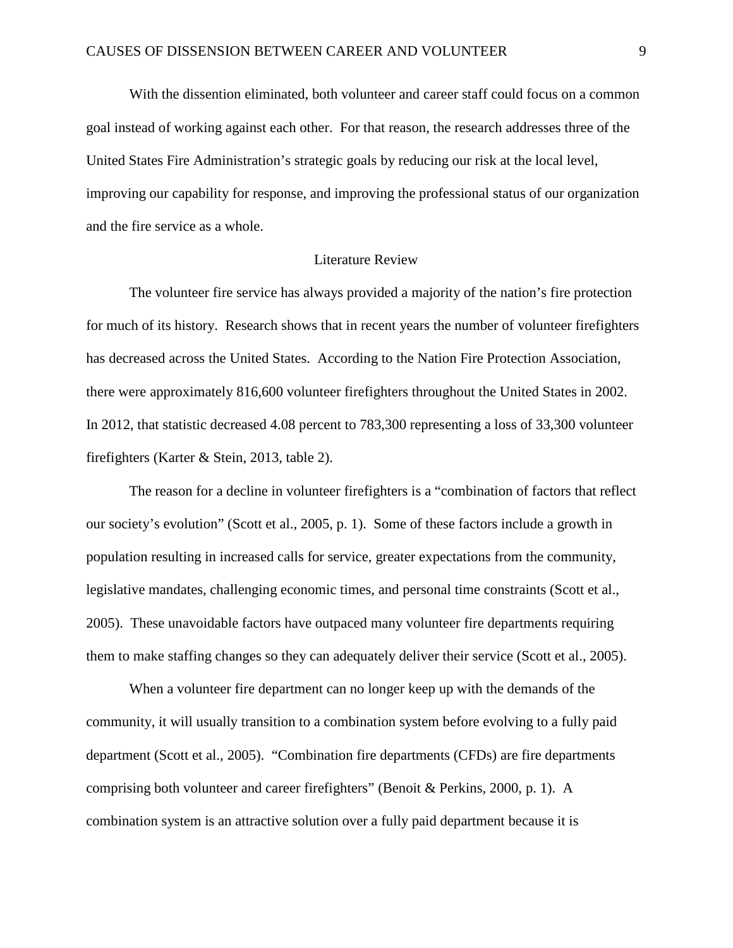With the dissention eliminated, both volunteer and career staff could focus on a common goal instead of working against each other. For that reason, the research addresses three of the United States Fire Administration's strategic goals by reducing our risk at the local level, improving our capability for response, and improving the professional status of our organization and the fire service as a whole.

#### Literature Review

The volunteer fire service has always provided a majority of the nation's fire protection for much of its history. Research shows that in recent years the number of volunteer firefighters has decreased across the United States. According to the Nation Fire Protection Association, there were approximately 816,600 volunteer firefighters throughout the United States in 2002. In 2012, that statistic decreased 4.08 percent to 783,300 representing a loss of 33,300 volunteer firefighters (Karter & Stein, 2013, table 2).

The reason for a decline in volunteer firefighters is a "combination of factors that reflect our society's evolution" (Scott et al., 2005, p. 1). Some of these factors include a growth in population resulting in increased calls for service, greater expectations from the community, legislative mandates, challenging economic times, and personal time constraints (Scott et al., 2005). These unavoidable factors have outpaced many volunteer fire departments requiring them to make staffing changes so they can adequately deliver their service (Scott et al., 2005).

When a volunteer fire department can no longer keep up with the demands of the community, it will usually transition to a combination system before evolving to a fully paid department (Scott et al., 2005). "Combination fire departments (CFDs) are fire departments comprising both volunteer and career firefighters" (Benoit & Perkins, 2000, p. 1). A combination system is an attractive solution over a fully paid department because it is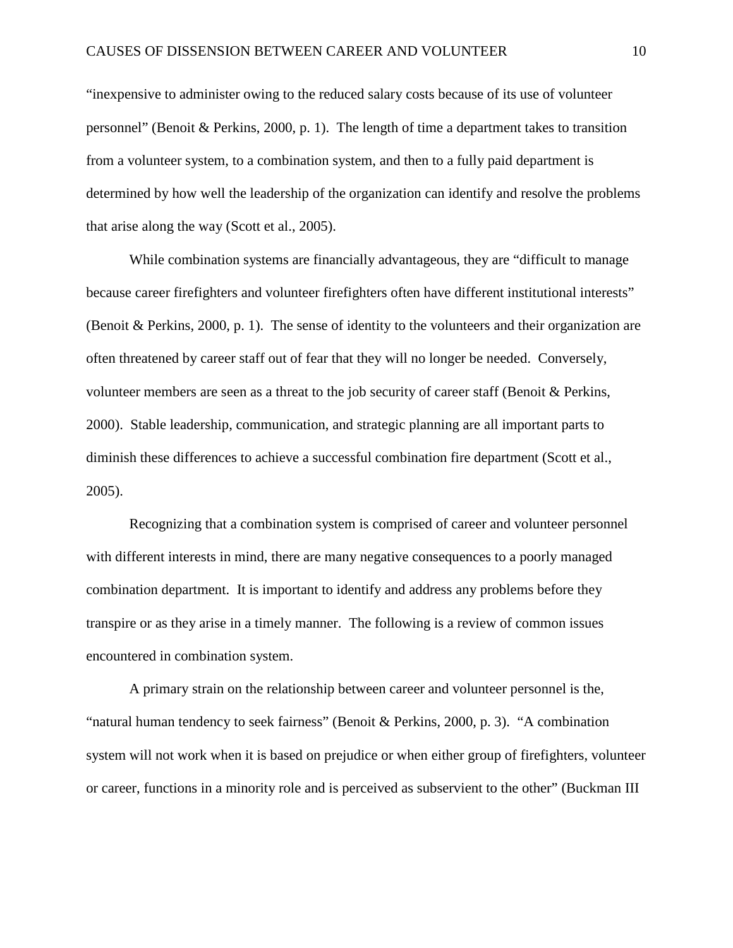"inexpensive to administer owing to the reduced salary costs because of its use of volunteer personnel" (Benoit & Perkins, 2000, p. 1). The length of time a department takes to transition from a volunteer system, to a combination system, and then to a fully paid department is determined by how well the leadership of the organization can identify and resolve the problems that arise along the way (Scott et al., 2005).

While combination systems are financially advantageous, they are "difficult to manage because career firefighters and volunteer firefighters often have different institutional interests" (Benoit & Perkins, 2000, p. 1). The sense of identity to the volunteers and their organization are often threatened by career staff out of fear that they will no longer be needed. Conversely, volunteer members are seen as a threat to the job security of career staff (Benoit & Perkins, 2000). Stable leadership, communication, and strategic planning are all important parts to diminish these differences to achieve a successful combination fire department (Scott et al., 2005).

Recognizing that a combination system is comprised of career and volunteer personnel with different interests in mind, there are many negative consequences to a poorly managed combination department. It is important to identify and address any problems before they transpire or as they arise in a timely manner. The following is a review of common issues encountered in combination system.

A primary strain on the relationship between career and volunteer personnel is the, "natural human tendency to seek fairness" (Benoit & Perkins, 2000, p. 3). "A combination system will not work when it is based on prejudice or when either group of firefighters, volunteer or career, functions in a minority role and is perceived as subservient to the other" (Buckman III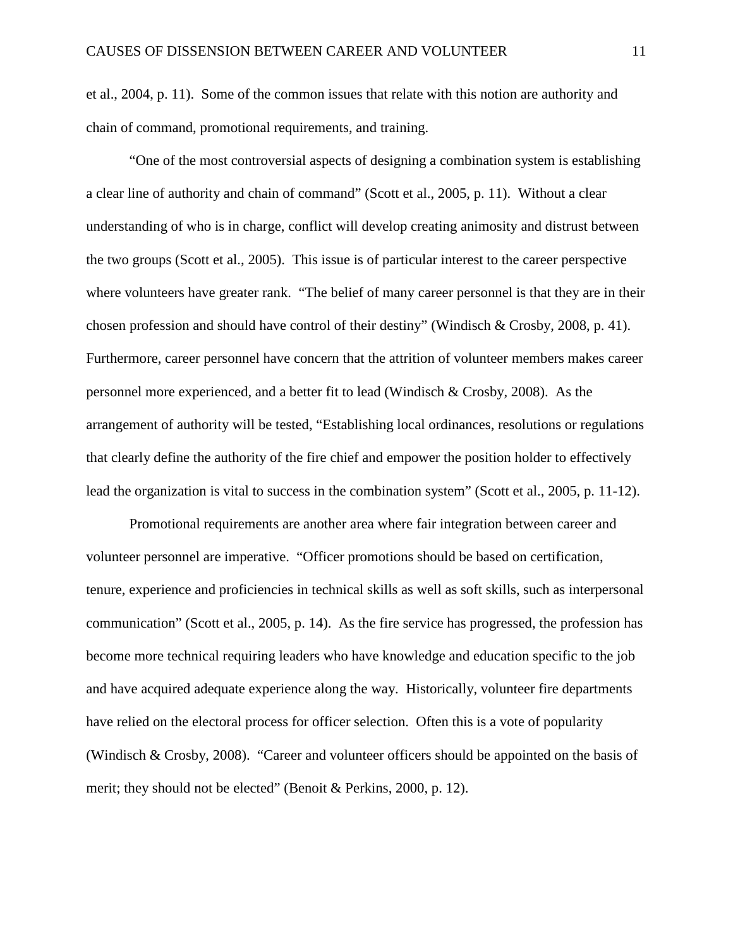et al., 2004, p. 11). Some of the common issues that relate with this notion are authority and chain of command, promotional requirements, and training.

"One of the most controversial aspects of designing a combination system is establishing a clear line of authority and chain of command" (Scott et al., 2005, p. 11). Without a clear understanding of who is in charge, conflict will develop creating animosity and distrust between the two groups (Scott et al., 2005). This issue is of particular interest to the career perspective where volunteers have greater rank. "The belief of many career personnel is that they are in their chosen profession and should have control of their destiny" (Windisch & Crosby, 2008, p. 41). Furthermore, career personnel have concern that the attrition of volunteer members makes career personnel more experienced, and a better fit to lead (Windisch & Crosby, 2008). As the arrangement of authority will be tested, "Establishing local ordinances, resolutions or regulations that clearly define the authority of the fire chief and empower the position holder to effectively lead the organization is vital to success in the combination system" (Scott et al., 2005, p. 11-12).

Promotional requirements are another area where fair integration between career and volunteer personnel are imperative. "Officer promotions should be based on certification, tenure, experience and proficiencies in technical skills as well as soft skills, such as interpersonal communication" (Scott et al., 2005, p. 14). As the fire service has progressed, the profession has become more technical requiring leaders who have knowledge and education specific to the job and have acquired adequate experience along the way. Historically, volunteer fire departments have relied on the electoral process for officer selection. Often this is a vote of popularity (Windisch & Crosby, 2008). "Career and volunteer officers should be appointed on the basis of merit; they should not be elected" (Benoit & Perkins, 2000, p. 12).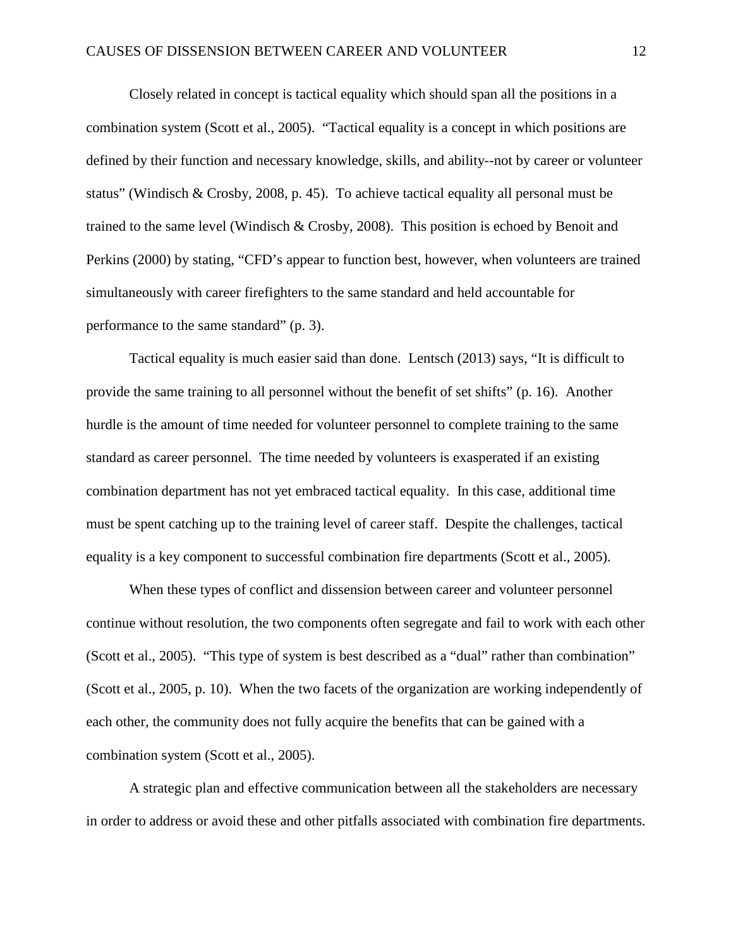Closely related in concept is tactical equality which should span all the positions in a combination system (Scott et al., 2005). "Tactical equality is a concept in which positions are defined by their function and necessary knowledge, skills, and ability--not by career or volunteer status" (Windisch & Crosby, 2008, p. 45). To achieve tactical equality all personal must be trained to the same level (Windisch & Crosby, 2008). This position is echoed by Benoit and Perkins (2000) by stating, "CFD's appear to function best, however, when volunteers are trained simultaneously with career firefighters to the same standard and held accountable for performance to the same standard" (p. 3).

Tactical equality is much easier said than done. Lentsch (2013) says, "It is difficult to provide the same training to all personnel without the benefit of set shifts" (p. 16). Another hurdle is the amount of time needed for volunteer personnel to complete training to the same standard as career personnel. The time needed by volunteers is exasperated if an existing combination department has not yet embraced tactical equality. In this case, additional time must be spent catching up to the training level of career staff. Despite the challenges, tactical equality is a key component to successful combination fire departments (Scott et al., 2005).

When these types of conflict and dissension between career and volunteer personnel continue without resolution, the two components often segregate and fail to work with each other (Scott et al., 2005). "This type of system is best described as a "dual" rather than combination" (Scott et al., 2005, p. 10). When the two facets of the organization are working independently of each other, the community does not fully acquire the benefits that can be gained with a combination system (Scott et al., 2005).

A strategic plan and effective communication between all the stakeholders are necessary in order to address or avoid these and other pitfalls associated with combination fire departments.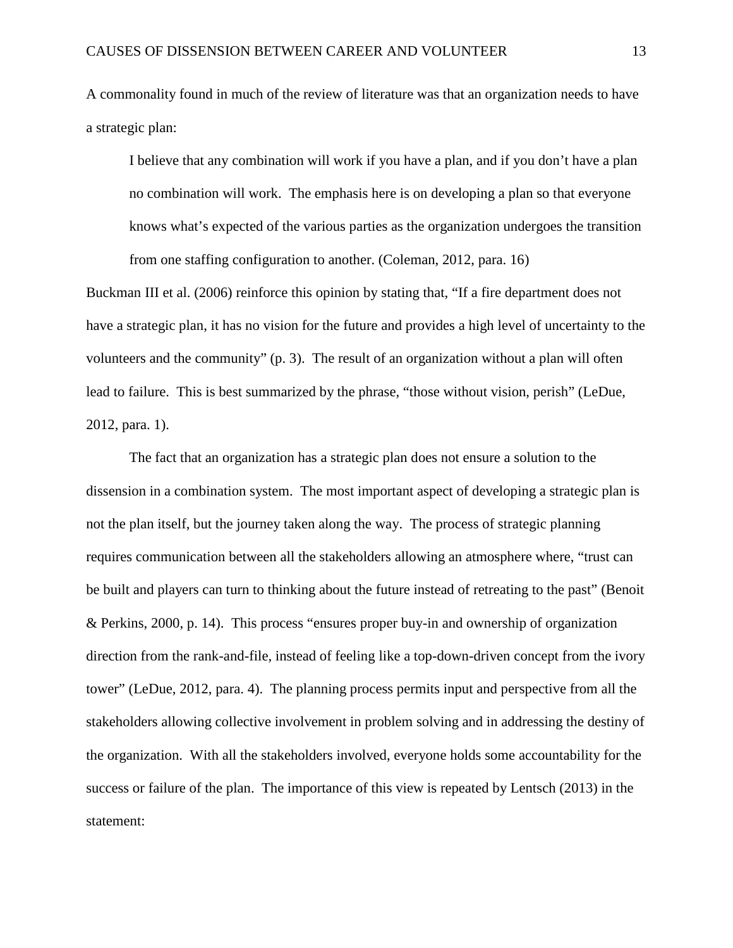A commonality found in much of the review of literature was that an organization needs to have a strategic plan:

I believe that any combination will work if you have a plan, and if you don't have a plan no combination will work. The emphasis here is on developing a plan so that everyone knows what's expected of the various parties as the organization undergoes the transition from one staffing configuration to another. (Coleman, 2012, para. 16)

Buckman III et al. (2006) reinforce this opinion by stating that, "If a fire department does not have a strategic plan, it has no vision for the future and provides a high level of uncertainty to the volunteers and the community" (p. 3). The result of an organization without a plan will often lead to failure. This is best summarized by the phrase, "those without vision, perish" (LeDue, 2012, para. 1).

The fact that an organization has a strategic plan does not ensure a solution to the dissension in a combination system. The most important aspect of developing a strategic plan is not the plan itself, but the journey taken along the way. The process of strategic planning requires communication between all the stakeholders allowing an atmosphere where, "trust can be built and players can turn to thinking about the future instead of retreating to the past" (Benoit & Perkins, 2000, p. 14). This process "ensures proper buy-in and ownership of organization direction from the rank-and-file, instead of feeling like a top-down-driven concept from the ivory tower" (LeDue, 2012, para. 4). The planning process permits input and perspective from all the stakeholders allowing collective involvement in problem solving and in addressing the destiny of the organization. With all the stakeholders involved, everyone holds some accountability for the success or failure of the plan. The importance of this view is repeated by Lentsch (2013) in the statement: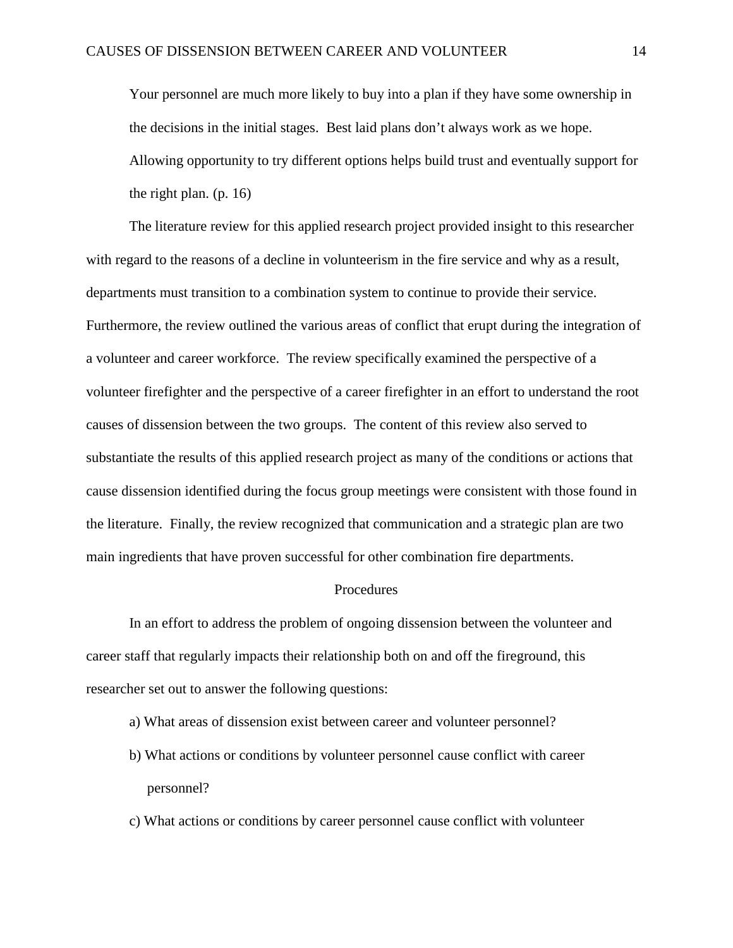Your personnel are much more likely to buy into a plan if they have some ownership in the decisions in the initial stages. Best laid plans don't always work as we hope. Allowing opportunity to try different options helps build trust and eventually support for the right plan.  $(p. 16)$ 

The literature review for this applied research project provided insight to this researcher with regard to the reasons of a decline in volunteerism in the fire service and why as a result, departments must transition to a combination system to continue to provide their service. Furthermore, the review outlined the various areas of conflict that erupt during the integration of a volunteer and career workforce. The review specifically examined the perspective of a volunteer firefighter and the perspective of a career firefighter in an effort to understand the root causes of dissension between the two groups. The content of this review also served to substantiate the results of this applied research project as many of the conditions or actions that cause dissension identified during the focus group meetings were consistent with those found in the literature. Finally, the review recognized that communication and a strategic plan are two main ingredients that have proven successful for other combination fire departments.

#### Procedures

In an effort to address the problem of ongoing dissension between the volunteer and career staff that regularly impacts their relationship both on and off the fireground, this researcher set out to answer the following questions:

- a) What areas of dissension exist between career and volunteer personnel?
- b) What actions or conditions by volunteer personnel cause conflict with career personnel?
- c) What actions or conditions by career personnel cause conflict with volunteer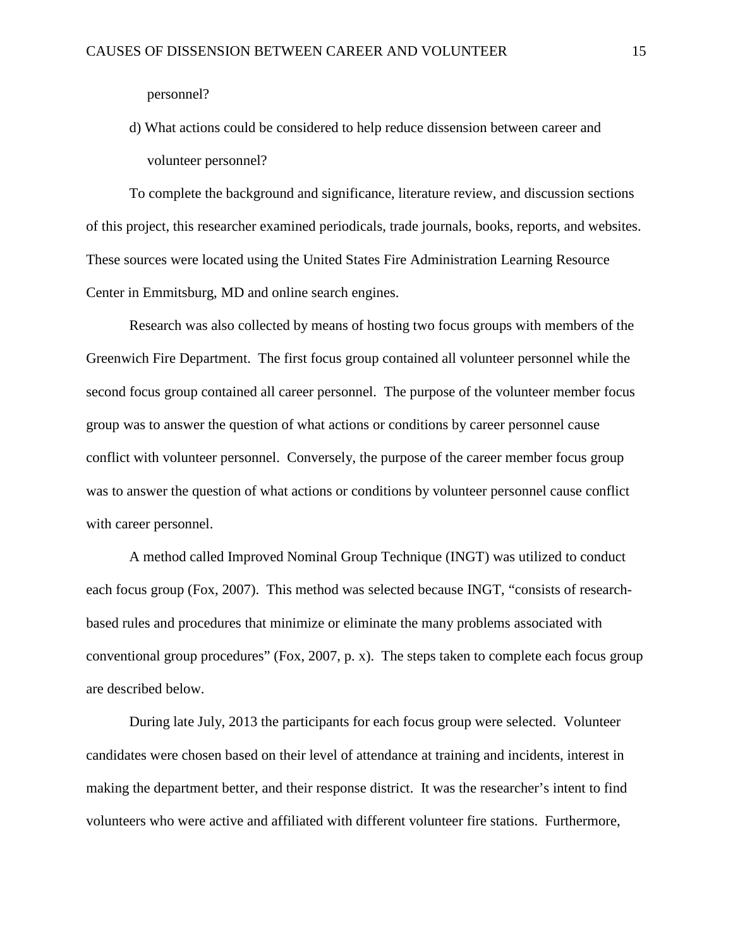personnel?

## d) What actions could be considered to help reduce dissension between career and volunteer personnel?

To complete the background and significance, literature review, and discussion sections of this project, this researcher examined periodicals, trade journals, books, reports, and websites. These sources were located using the United States Fire Administration Learning Resource Center in Emmitsburg, MD and online search engines.

Research was also collected by means of hosting two focus groups with members of the Greenwich Fire Department. The first focus group contained all volunteer personnel while the second focus group contained all career personnel. The purpose of the volunteer member focus group was to answer the question of what actions or conditions by career personnel cause conflict with volunteer personnel. Conversely, the purpose of the career member focus group was to answer the question of what actions or conditions by volunteer personnel cause conflict with career personnel.

A method called Improved Nominal Group Technique (INGT) was utilized to conduct each focus group (Fox, 2007). This method was selected because INGT, "consists of researchbased rules and procedures that minimize or eliminate the many problems associated with conventional group procedures" (Fox, 2007, p. x). The steps taken to complete each focus group are described below.

During late July, 2013 the participants for each focus group were selected. Volunteer candidates were chosen based on their level of attendance at training and incidents, interest in making the department better, and their response district. It was the researcher's intent to find volunteers who were active and affiliated with different volunteer fire stations. Furthermore,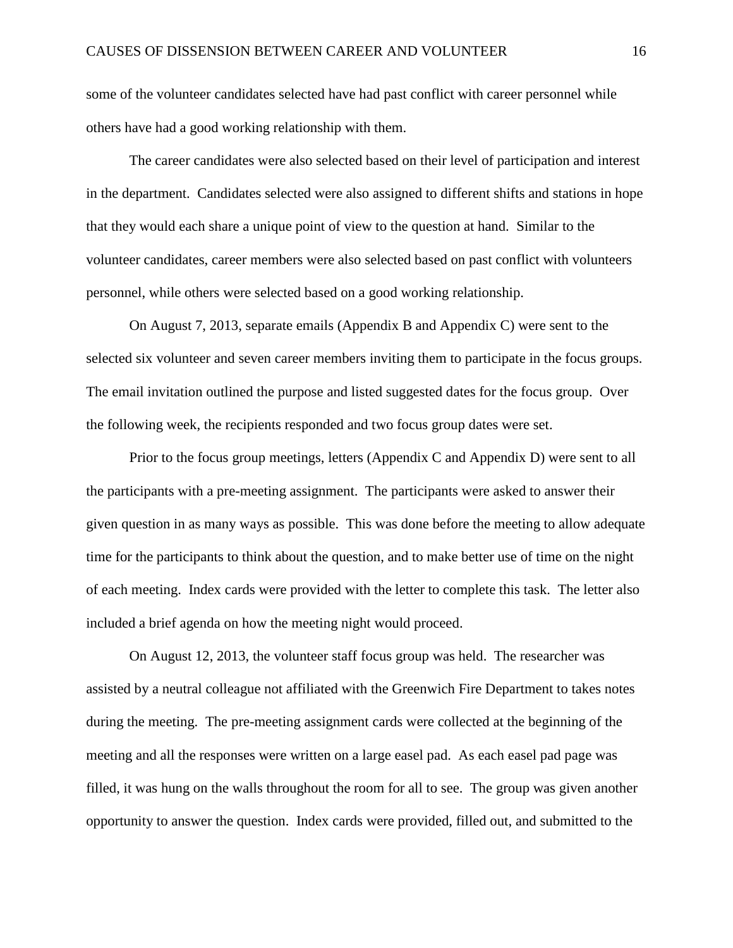some of the volunteer candidates selected have had past conflict with career personnel while others have had a good working relationship with them.

The career candidates were also selected based on their level of participation and interest in the department. Candidates selected were also assigned to different shifts and stations in hope that they would each share a unique point of view to the question at hand. Similar to the volunteer candidates, career members were also selected based on past conflict with volunteers personnel, while others were selected based on a good working relationship.

On August 7, 2013, separate emails (Appendix B and Appendix C) were sent to the selected six volunteer and seven career members inviting them to participate in the focus groups. The email invitation outlined the purpose and listed suggested dates for the focus group. Over the following week, the recipients responded and two focus group dates were set.

Prior to the focus group meetings, letters (Appendix C and Appendix D) were sent to all the participants with a pre-meeting assignment. The participants were asked to answer their given question in as many ways as possible. This was done before the meeting to allow adequate time for the participants to think about the question, and to make better use of time on the night of each meeting. Index cards were provided with the letter to complete this task. The letter also included a brief agenda on how the meeting night would proceed.

On August 12, 2013, the volunteer staff focus group was held. The researcher was assisted by a neutral colleague not affiliated with the Greenwich Fire Department to takes notes during the meeting. The pre-meeting assignment cards were collected at the beginning of the meeting and all the responses were written on a large easel pad. As each easel pad page was filled, it was hung on the walls throughout the room for all to see. The group was given another opportunity to answer the question. Index cards were provided, filled out, and submitted to the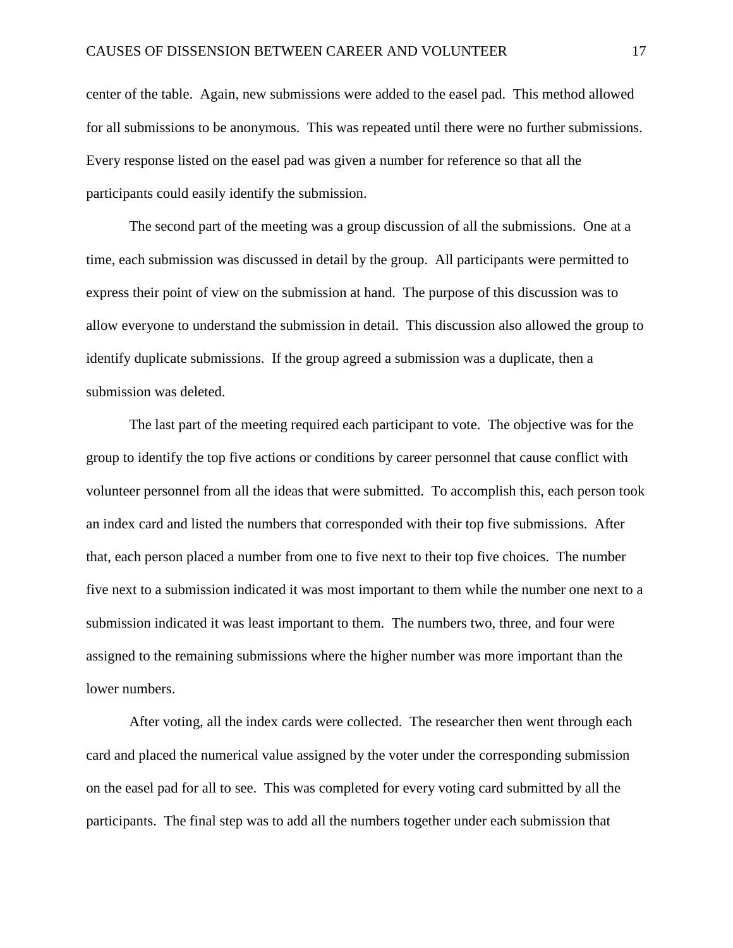center of the table. Again, new submissions were added to the easel pad. This method allowed for all submissions to be anonymous. This was repeated until there were no further submissions. Every response listed on the easel pad was given a number for reference so that all the participants could easily identify the submission.

The second part of the meeting was a group discussion of all the submissions. One at a time, each submission was discussed in detail by the group. All participants were permitted to express their point of view on the submission at hand. The purpose of this discussion was to allow everyone to understand the submission in detail. This discussion also allowed the group to identify duplicate submissions. If the group agreed a submission was a duplicate, then a submission was deleted.

The last part of the meeting required each participant to vote. The objective was for the group to identify the top five actions or conditions by career personnel that cause conflict with volunteer personnel from all the ideas that were submitted. To accomplish this, each person took an index card and listed the numbers that corresponded with their top five submissions. After that, each person placed a number from one to five next to their top five choices. The number five next to a submission indicated it was most important to them while the number one next to a submission indicated it was least important to them. The numbers two, three, and four were assigned to the remaining submissions where the higher number was more important than the lower numbers.

After voting, all the index cards were collected. The researcher then went through each card and placed the numerical value assigned by the voter under the corresponding submission on the easel pad for all to see. This was completed for every voting card submitted by all the participants. The final step was to add all the numbers together under each submission that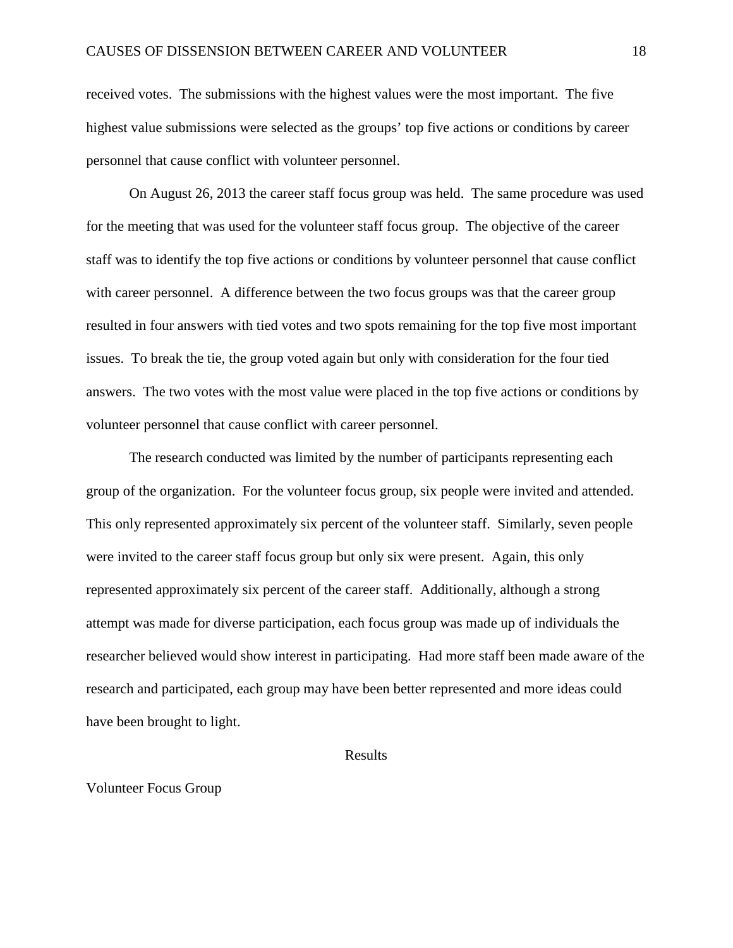received votes. The submissions with the highest values were the most important. The five highest value submissions were selected as the groups' top five actions or conditions by career personnel that cause conflict with volunteer personnel.

On August 26, 2013 the career staff focus group was held. The same procedure was used for the meeting that was used for the volunteer staff focus group. The objective of the career staff was to identify the top five actions or conditions by volunteer personnel that cause conflict with career personnel. A difference between the two focus groups was that the career group resulted in four answers with tied votes and two spots remaining for the top five most important issues. To break the tie, the group voted again but only with consideration for the four tied answers. The two votes with the most value were placed in the top five actions or conditions by volunteer personnel that cause conflict with career personnel.

The research conducted was limited by the number of participants representing each group of the organization. For the volunteer focus group, six people were invited and attended. This only represented approximately six percent of the volunteer staff. Similarly, seven people were invited to the career staff focus group but only six were present. Again, this only represented approximately six percent of the career staff. Additionally, although a strong attempt was made for diverse participation, each focus group was made up of individuals the researcher believed would show interest in participating. Had more staff been made aware of the research and participated, each group may have been better represented and more ideas could have been brought to light.

#### Results

#### Volunteer Focus Group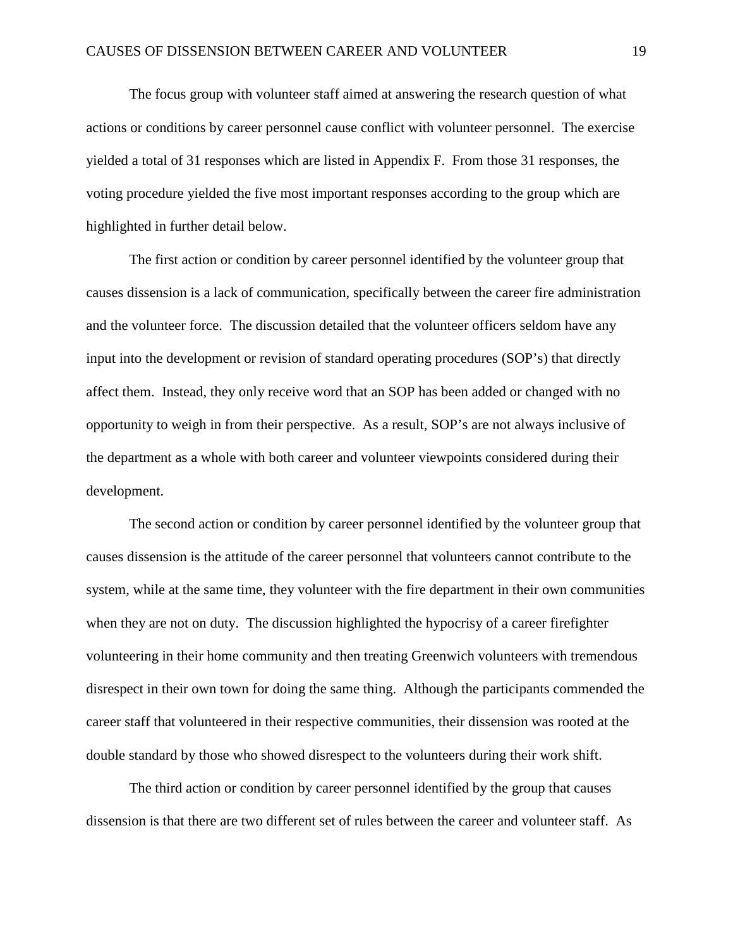The focus group with volunteer staff aimed at answering the research question of what actions or conditions by career personnel cause conflict with volunteer personnel. The exercise yielded a total of 31 responses which are listed in Appendix F. From those 31 responses, the voting procedure yielded the five most important responses according to the group which are highlighted in further detail below.

The first action or condition by career personnel identified by the volunteer group that causes dissension is a lack of communication, specifically between the career fire administration and the volunteer force. The discussion detailed that the volunteer officers seldom have any input into the development or revision of standard operating procedures (SOP's) that directly affect them. Instead, they only receive word that an SOP has been added or changed with no opportunity to weigh in from their perspective. As a result, SOP's are not always inclusive of the department as a whole with both career and volunteer viewpoints considered during their development.

The second action or condition by career personnel identified by the volunteer group that causes dissension is the attitude of the career personnel that volunteers cannot contribute to the system, while at the same time, they volunteer with the fire department in their own communities when they are not on duty. The discussion highlighted the hypocrisy of a career firefighter volunteering in their home community and then treating Greenwich volunteers with tremendous disrespect in their own town for doing the same thing. Although the participants commended the career staff that volunteered in their respective communities, their dissension was rooted at the double standard by those who showed disrespect to the volunteers during their work shift.

The third action or condition by career personnel identified by the group that causes dissension is that there are two different set of rules between the career and volunteer staff. As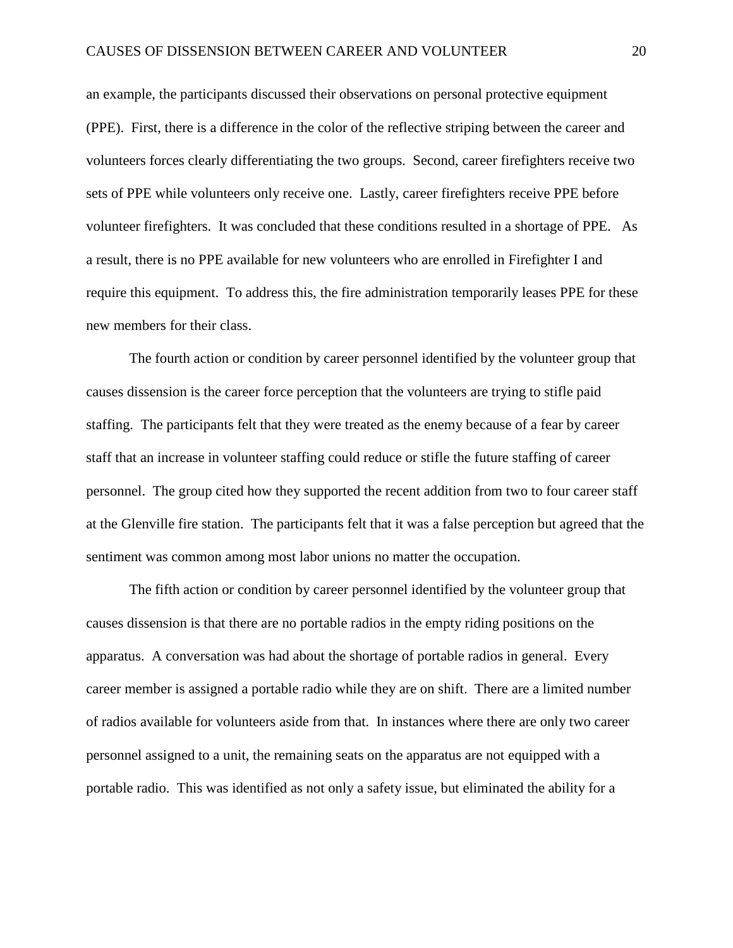an example, the participants discussed their observations on personal protective equipment (PPE). First, there is a difference in the color of the reflective striping between the career and volunteers forces clearly differentiating the two groups. Second, career firefighters receive two sets of PPE while volunteers only receive one. Lastly, career firefighters receive PPE before volunteer firefighters. It was concluded that these conditions resulted in a shortage of PPE. As a result, there is no PPE available for new volunteers who are enrolled in Firefighter I and require this equipment. To address this, the fire administration temporarily leases PPE for these new members for their class.

The fourth action or condition by career personnel identified by the volunteer group that causes dissension is the career force perception that the volunteers are trying to stifle paid staffing. The participants felt that they were treated as the enemy because of a fear by career staff that an increase in volunteer staffing could reduce or stifle the future staffing of career personnel. The group cited how they supported the recent addition from two to four career staff at the Glenville fire station. The participants felt that it was a false perception but agreed that the sentiment was common among most labor unions no matter the occupation.

The fifth action or condition by career personnel identified by the volunteer group that causes dissension is that there are no portable radios in the empty riding positions on the apparatus. A conversation was had about the shortage of portable radios in general. Every career member is assigned a portable radio while they are on shift. There are a limited number of radios available for volunteers aside from that. In instances where there are only two career personnel assigned to a unit, the remaining seats on the apparatus are not equipped with a portable radio. This was identified as not only a safety issue, but eliminated the ability for a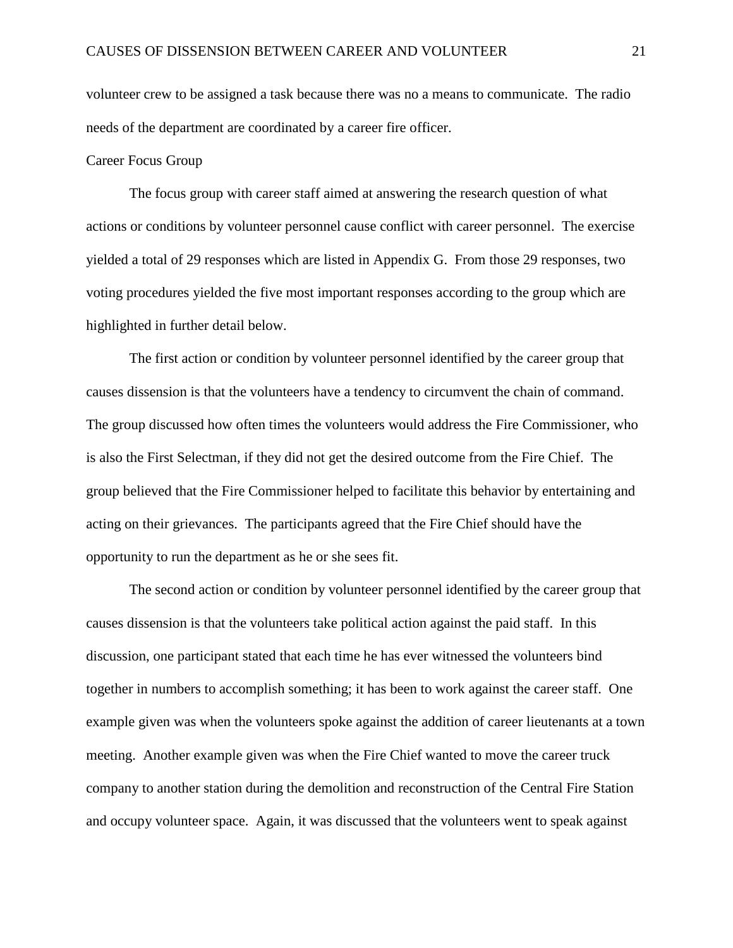volunteer crew to be assigned a task because there was no a means to communicate. The radio needs of the department are coordinated by a career fire officer.

#### Career Focus Group

The focus group with career staff aimed at answering the research question of what actions or conditions by volunteer personnel cause conflict with career personnel. The exercise yielded a total of 29 responses which are listed in Appendix G. From those 29 responses, two voting procedures yielded the five most important responses according to the group which are highlighted in further detail below.

The first action or condition by volunteer personnel identified by the career group that causes dissension is that the volunteers have a tendency to circumvent the chain of command. The group discussed how often times the volunteers would address the Fire Commissioner, who is also the First Selectman, if they did not get the desired outcome from the Fire Chief. The group believed that the Fire Commissioner helped to facilitate this behavior by entertaining and acting on their grievances. The participants agreed that the Fire Chief should have the opportunity to run the department as he or she sees fit.

The second action or condition by volunteer personnel identified by the career group that causes dissension is that the volunteers take political action against the paid staff. In this discussion, one participant stated that each time he has ever witnessed the volunteers bind together in numbers to accomplish something; it has been to work against the career staff. One example given was when the volunteers spoke against the addition of career lieutenants at a town meeting. Another example given was when the Fire Chief wanted to move the career truck company to another station during the demolition and reconstruction of the Central Fire Station and occupy volunteer space. Again, it was discussed that the volunteers went to speak against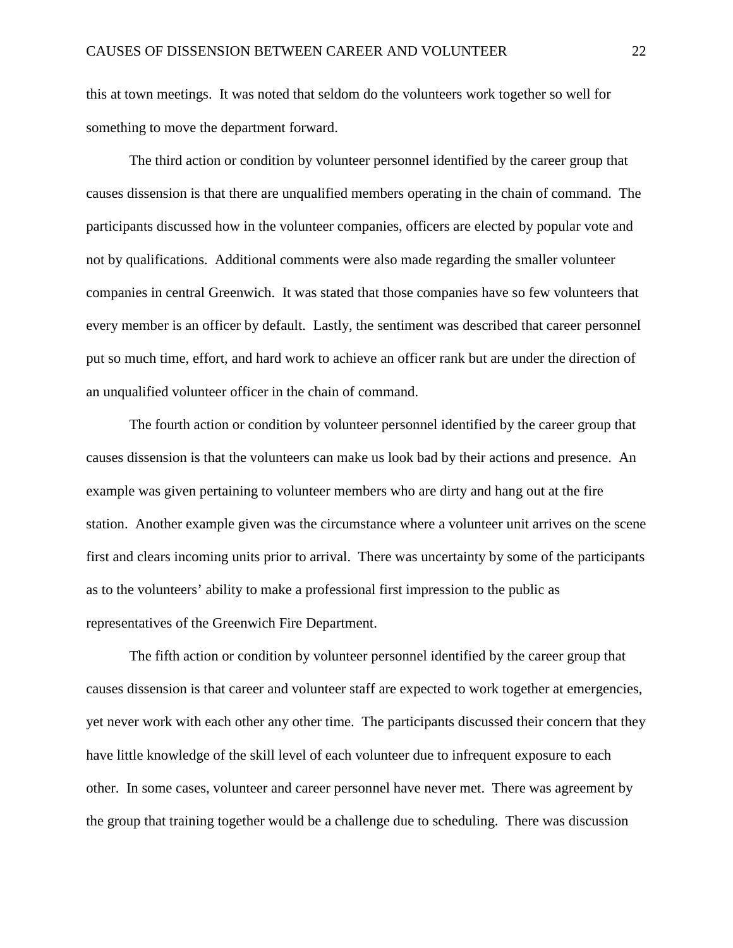this at town meetings. It was noted that seldom do the volunteers work together so well for something to move the department forward.

The third action or condition by volunteer personnel identified by the career group that causes dissension is that there are unqualified members operating in the chain of command. The participants discussed how in the volunteer companies, officers are elected by popular vote and not by qualifications. Additional comments were also made regarding the smaller volunteer companies in central Greenwich. It was stated that those companies have so few volunteers that every member is an officer by default. Lastly, the sentiment was described that career personnel put so much time, effort, and hard work to achieve an officer rank but are under the direction of an unqualified volunteer officer in the chain of command.

The fourth action or condition by volunteer personnel identified by the career group that causes dissension is that the volunteers can make us look bad by their actions and presence. An example was given pertaining to volunteer members who are dirty and hang out at the fire station. Another example given was the circumstance where a volunteer unit arrives on the scene first and clears incoming units prior to arrival. There was uncertainty by some of the participants as to the volunteers' ability to make a professional first impression to the public as representatives of the Greenwich Fire Department.

The fifth action or condition by volunteer personnel identified by the career group that causes dissension is that career and volunteer staff are expected to work together at emergencies, yet never work with each other any other time. The participants discussed their concern that they have little knowledge of the skill level of each volunteer due to infrequent exposure to each other. In some cases, volunteer and career personnel have never met. There was agreement by the group that training together would be a challenge due to scheduling. There was discussion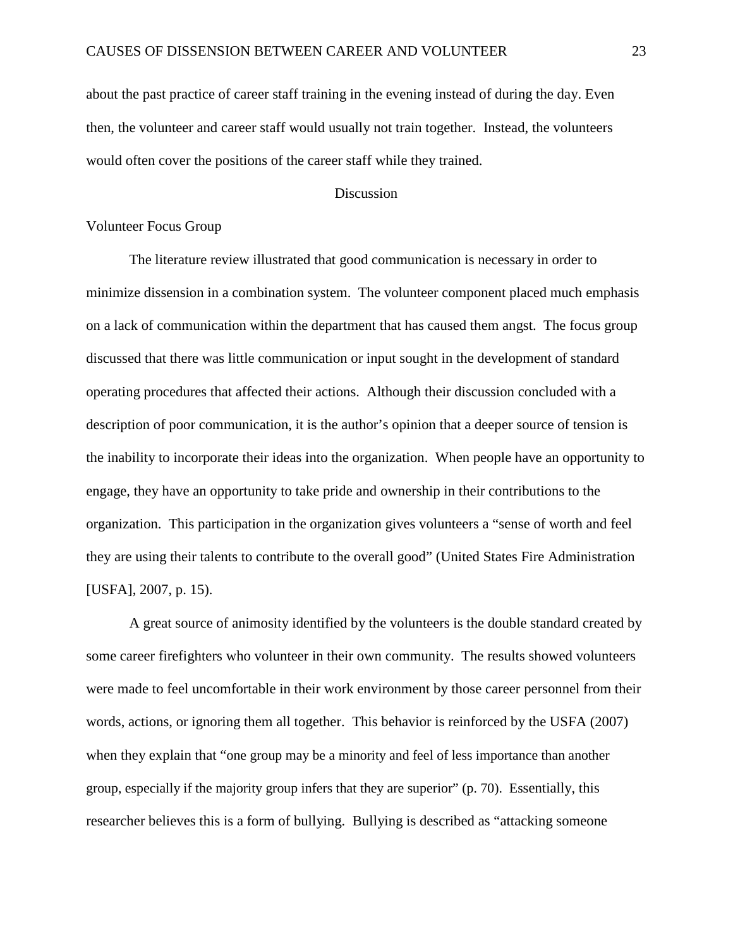about the past practice of career staff training in the evening instead of during the day. Even then, the volunteer and career staff would usually not train together. Instead, the volunteers would often cover the positions of the career staff while they trained.

#### **Discussion**

#### Volunteer Focus Group

The literature review illustrated that good communication is necessary in order to minimize dissension in a combination system. The volunteer component placed much emphasis on a lack of communication within the department that has caused them angst. The focus group discussed that there was little communication or input sought in the development of standard operating procedures that affected their actions. Although their discussion concluded with a description of poor communication, it is the author's opinion that a deeper source of tension is the inability to incorporate their ideas into the organization. When people have an opportunity to engage, they have an opportunity to take pride and ownership in their contributions to the organization. This participation in the organization gives volunteers a "sense of worth and feel they are using their talents to contribute to the overall good" (United States Fire Administration [USFA], 2007, p. 15).

A great source of animosity identified by the volunteers is the double standard created by some career firefighters who volunteer in their own community. The results showed volunteers were made to feel uncomfortable in their work environment by those career personnel from their words, actions, or ignoring them all together. This behavior is reinforced by the USFA (2007) when they explain that "one group may be a minority and feel of less importance than another group, especially if the majority group infers that they are superior" (p. 70). Essentially, this researcher believes this is a form of bullying. Bullying is described as "attacking someone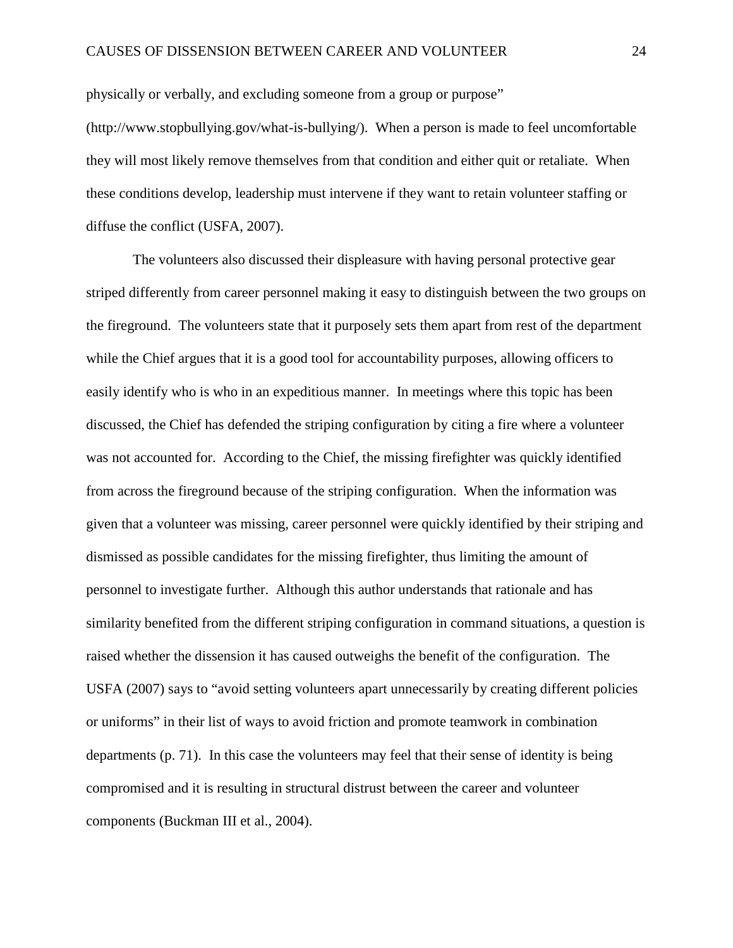physically or verbally, and excluding someone from a group or purpose"

(http://www.stopbullying.gov/what-is-bullying/). When a person is made to feel uncomfortable they will most likely remove themselves from that condition and either quit or retaliate. When these conditions develop, leadership must intervene if they want to retain volunteer staffing or diffuse the conflict (USFA, 2007).

 The volunteers also discussed their displeasure with having personal protective gear striped differently from career personnel making it easy to distinguish between the two groups on the fireground. The volunteers state that it purposely sets them apart from rest of the department while the Chief argues that it is a good tool for accountability purposes, allowing officers to easily identify who is who in an expeditious manner. In meetings where this topic has been discussed, the Chief has defended the striping configuration by citing a fire where a volunteer was not accounted for. According to the Chief, the missing firefighter was quickly identified from across the fireground because of the striping configuration. When the information was given that a volunteer was missing, career personnel were quickly identified by their striping and dismissed as possible candidates for the missing firefighter, thus limiting the amount of personnel to investigate further. Although this author understands that rationale and has similarity benefited from the different striping configuration in command situations, a question is raised whether the dissension it has caused outweighs the benefit of the configuration. The USFA (2007) says to "avoid setting volunteers apart unnecessarily by creating different policies or uniforms" in their list of ways to avoid friction and promote teamwork in combination departments (p. 71). In this case the volunteers may feel that their sense of identity is being compromised and it is resulting in structural distrust between the career and volunteer components (Buckman III et al., 2004).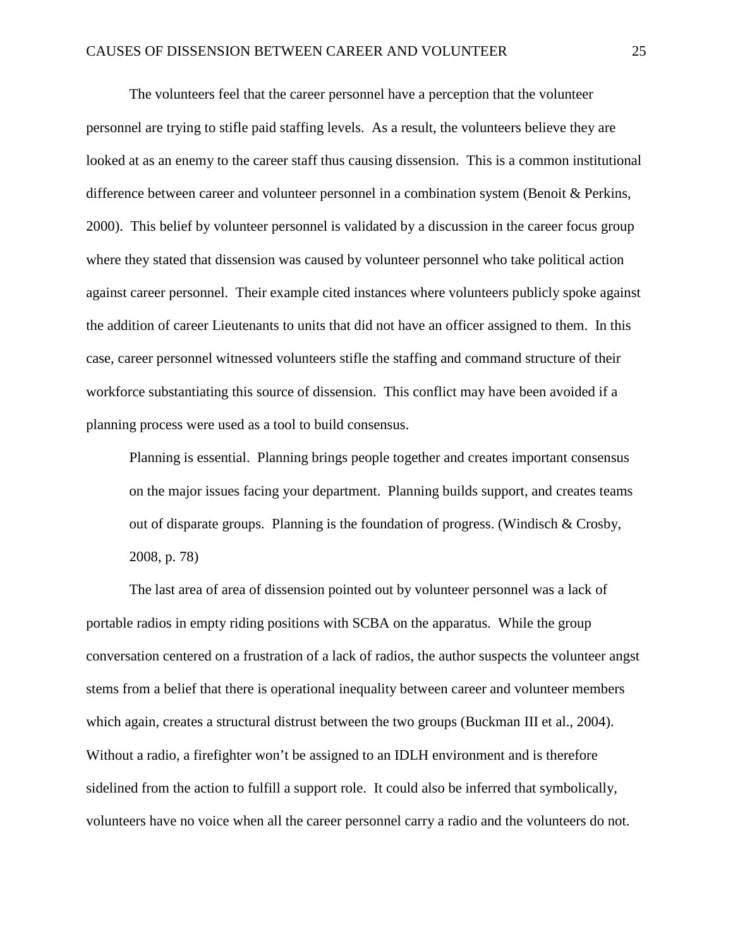The volunteers feel that the career personnel have a perception that the volunteer personnel are trying to stifle paid staffing levels. As a result, the volunteers believe they are looked at as an enemy to the career staff thus causing dissension. This is a common institutional difference between career and volunteer personnel in a combination system (Benoit & Perkins, 2000). This belief by volunteer personnel is validated by a discussion in the career focus group where they stated that dissension was caused by volunteer personnel who take political action against career personnel. Their example cited instances where volunteers publicly spoke against the addition of career Lieutenants to units that did not have an officer assigned to them. In this case, career personnel witnessed volunteers stifle the staffing and command structure of their workforce substantiating this source of dissension. This conflict may have been avoided if a planning process were used as a tool to build consensus.

Planning is essential. Planning brings people together and creates important consensus on the major issues facing your department. Planning builds support, and creates teams out of disparate groups. Planning is the foundation of progress. (Windisch & Crosby, 2008, p. 78)

The last area of area of dissension pointed out by volunteer personnel was a lack of portable radios in empty riding positions with SCBA on the apparatus. While the group conversation centered on a frustration of a lack of radios, the author suspects the volunteer angst stems from a belief that there is operational inequality between career and volunteer members which again, creates a structural distrust between the two groups (Buckman III et al., 2004). Without a radio, a firefighter won't be assigned to an IDLH environment and is therefore sidelined from the action to fulfill a support role. It could also be inferred that symbolically, volunteers have no voice when all the career personnel carry a radio and the volunteers do not.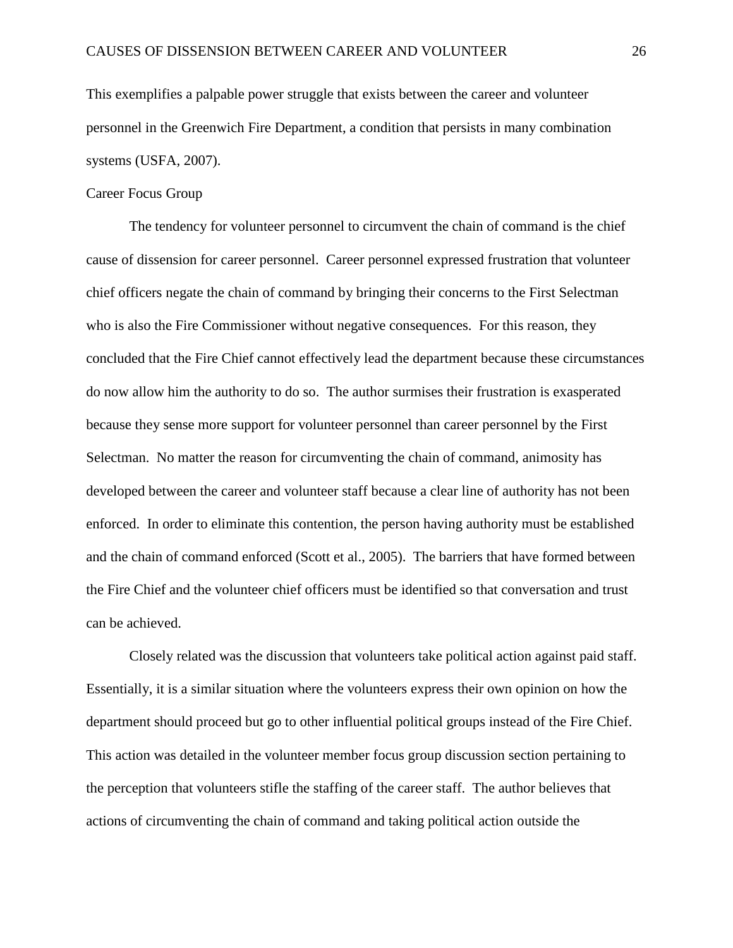This exemplifies a palpable power struggle that exists between the career and volunteer personnel in the Greenwich Fire Department, a condition that persists in many combination systems (USFA, 2007).

#### Career Focus Group

The tendency for volunteer personnel to circumvent the chain of command is the chief cause of dissension for career personnel. Career personnel expressed frustration that volunteer chief officers negate the chain of command by bringing their concerns to the First Selectman who is also the Fire Commissioner without negative consequences. For this reason, they concluded that the Fire Chief cannot effectively lead the department because these circumstances do now allow him the authority to do so. The author surmises their frustration is exasperated because they sense more support for volunteer personnel than career personnel by the First Selectman. No matter the reason for circumventing the chain of command, animosity has developed between the career and volunteer staff because a clear line of authority has not been enforced. In order to eliminate this contention, the person having authority must be established and the chain of command enforced (Scott et al., 2005). The barriers that have formed between the Fire Chief and the volunteer chief officers must be identified so that conversation and trust can be achieved.

Closely related was the discussion that volunteers take political action against paid staff. Essentially, it is a similar situation where the volunteers express their own opinion on how the department should proceed but go to other influential political groups instead of the Fire Chief. This action was detailed in the volunteer member focus group discussion section pertaining to the perception that volunteers stifle the staffing of the career staff. The author believes that actions of circumventing the chain of command and taking political action outside the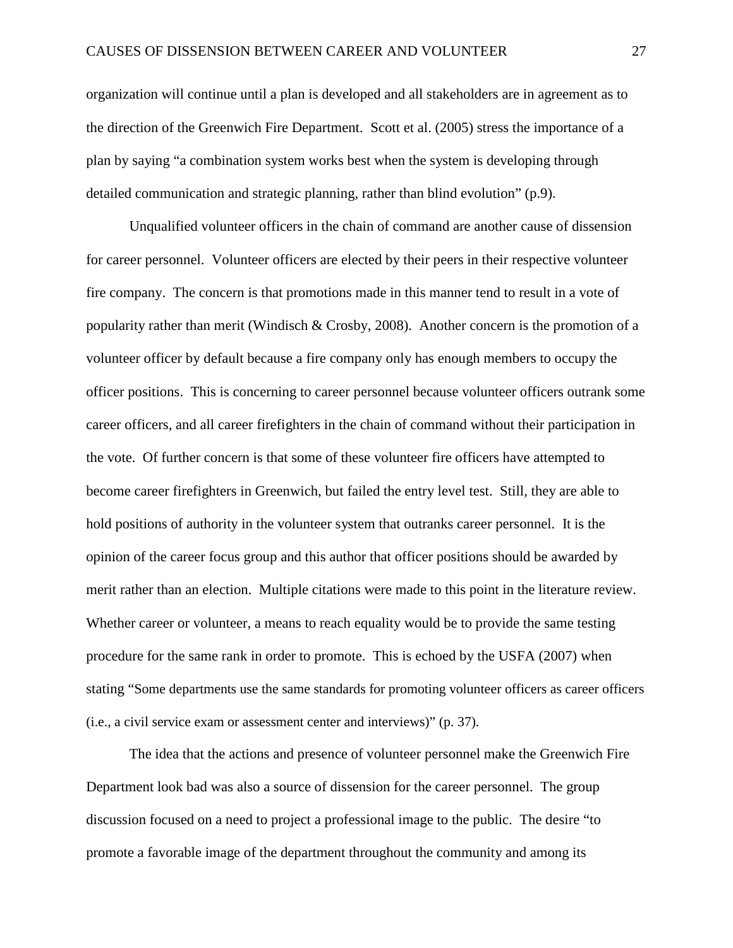organization will continue until a plan is developed and all stakeholders are in agreement as to the direction of the Greenwich Fire Department. Scott et al. (2005) stress the importance of a plan by saying "a combination system works best when the system is developing through detailed communication and strategic planning, rather than blind evolution" (p.9).

Unqualified volunteer officers in the chain of command are another cause of dissension for career personnel. Volunteer officers are elected by their peers in their respective volunteer fire company. The concern is that promotions made in this manner tend to result in a vote of popularity rather than merit (Windisch & Crosby, 2008). Another concern is the promotion of a volunteer officer by default because a fire company only has enough members to occupy the officer positions. This is concerning to career personnel because volunteer officers outrank some career officers, and all career firefighters in the chain of command without their participation in the vote. Of further concern is that some of these volunteer fire officers have attempted to become career firefighters in Greenwich, but failed the entry level test. Still, they are able to hold positions of authority in the volunteer system that outranks career personnel. It is the opinion of the career focus group and this author that officer positions should be awarded by merit rather than an election. Multiple citations were made to this point in the literature review. Whether career or volunteer, a means to reach equality would be to provide the same testing procedure for the same rank in order to promote. This is echoed by the USFA (2007) when stating "Some departments use the same standards for promoting volunteer officers as career officers (i.e., a civil service exam or assessment center and interviews)" (p. 37).

The idea that the actions and presence of volunteer personnel make the Greenwich Fire Department look bad was also a source of dissension for the career personnel. The group discussion focused on a need to project a professional image to the public. The desire "to promote a favorable image of the department throughout the community and among its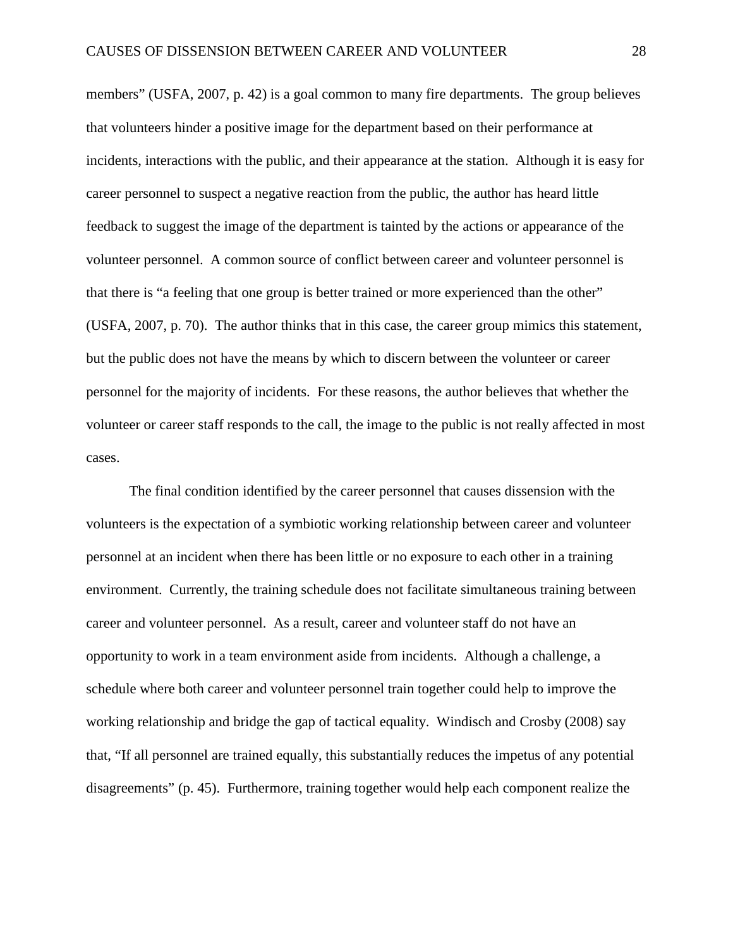members" (USFA, 2007, p. 42) is a goal common to many fire departments. The group believes that volunteers hinder a positive image for the department based on their performance at incidents, interactions with the public, and their appearance at the station. Although it is easy for career personnel to suspect a negative reaction from the public, the author has heard little feedback to suggest the image of the department is tainted by the actions or appearance of the volunteer personnel. A common source of conflict between career and volunteer personnel is that there is "a feeling that one group is better trained or more experienced than the other" (USFA, 2007, p. 70). The author thinks that in this case, the career group mimics this statement, but the public does not have the means by which to discern between the volunteer or career personnel for the majority of incidents. For these reasons, the author believes that whether the volunteer or career staff responds to the call, the image to the public is not really affected in most cases.

The final condition identified by the career personnel that causes dissension with the volunteers is the expectation of a symbiotic working relationship between career and volunteer personnel at an incident when there has been little or no exposure to each other in a training environment. Currently, the training schedule does not facilitate simultaneous training between career and volunteer personnel. As a result, career and volunteer staff do not have an opportunity to work in a team environment aside from incidents. Although a challenge, a schedule where both career and volunteer personnel train together could help to improve the working relationship and bridge the gap of tactical equality. Windisch and Crosby (2008) say that, "If all personnel are trained equally, this substantially reduces the impetus of any potential disagreements" (p. 45). Furthermore, training together would help each component realize the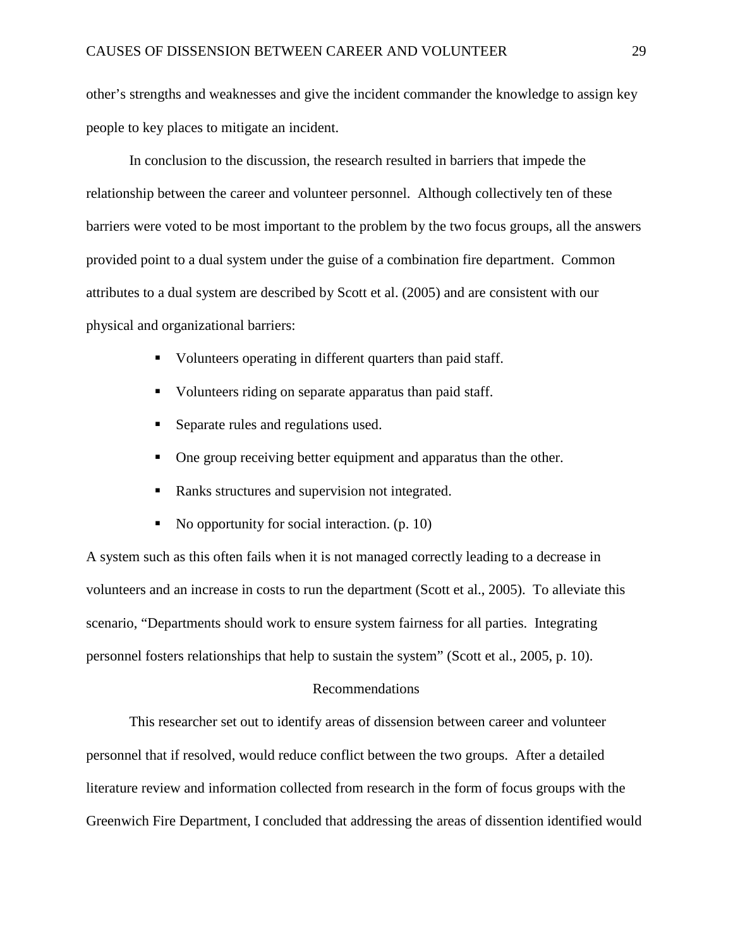other's strengths and weaknesses and give the incident commander the knowledge to assign key people to key places to mitigate an incident.

In conclusion to the discussion, the research resulted in barriers that impede the relationship between the career and volunteer personnel. Although collectively ten of these barriers were voted to be most important to the problem by the two focus groups, all the answers provided point to a dual system under the guise of a combination fire department. Common attributes to a dual system are described by Scott et al. (2005) and are consistent with our physical and organizational barriers:

- Updinately Volunteers operating in different quarters than paid staff.
- Volunteers riding on separate apparatus than paid staff.
- Separate rules and regulations used.
- One group receiving better equipment and apparatus than the other.
- Ranks structures and supervision not integrated.
- No opportunity for social interaction.  $(p. 10)$

A system such as this often fails when it is not managed correctly leading to a decrease in volunteers and an increase in costs to run the department (Scott et al., 2005). To alleviate this scenario, "Departments should work to ensure system fairness for all parties. Integrating personnel fosters relationships that help to sustain the system" (Scott et al., 2005, p. 10).

#### Recommendations

This researcher set out to identify areas of dissension between career and volunteer personnel that if resolved, would reduce conflict between the two groups. After a detailed literature review and information collected from research in the form of focus groups with the Greenwich Fire Department, I concluded that addressing the areas of dissention identified would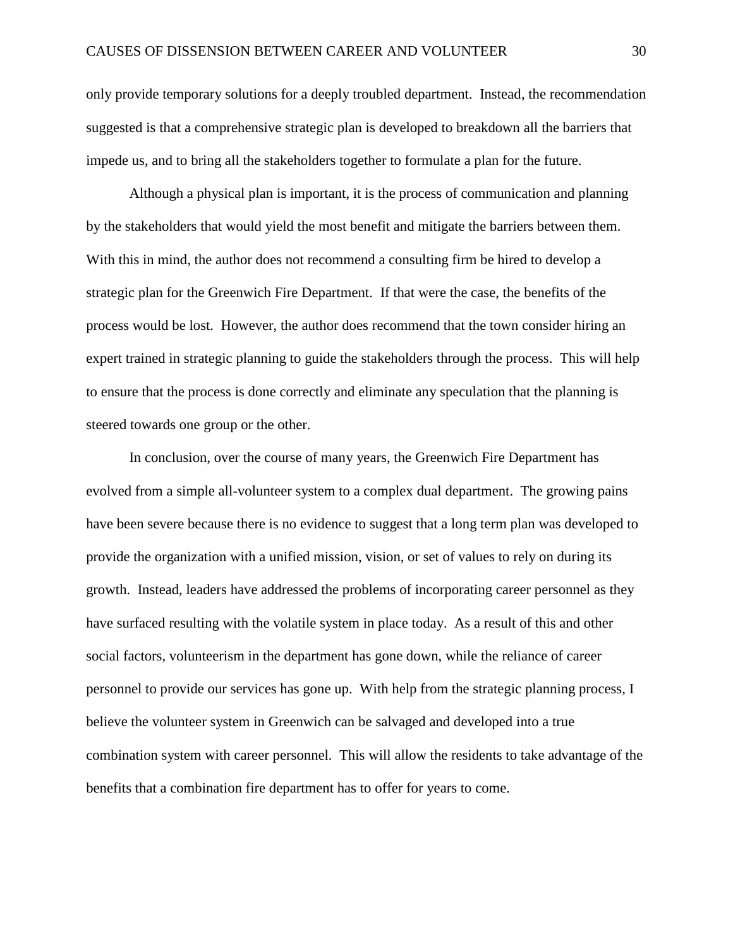only provide temporary solutions for a deeply troubled department. Instead, the recommendation suggested is that a comprehensive strategic plan is developed to breakdown all the barriers that impede us, and to bring all the stakeholders together to formulate a plan for the future.

Although a physical plan is important, it is the process of communication and planning by the stakeholders that would yield the most benefit and mitigate the barriers between them. With this in mind, the author does not recommend a consulting firm be hired to develop a strategic plan for the Greenwich Fire Department. If that were the case, the benefits of the process would be lost. However, the author does recommend that the town consider hiring an expert trained in strategic planning to guide the stakeholders through the process. This will help to ensure that the process is done correctly and eliminate any speculation that the planning is steered towards one group or the other.

In conclusion, over the course of many years, the Greenwich Fire Department has evolved from a simple all-volunteer system to a complex dual department. The growing pains have been severe because there is no evidence to suggest that a long term plan was developed to provide the organization with a unified mission, vision, or set of values to rely on during its growth. Instead, leaders have addressed the problems of incorporating career personnel as they have surfaced resulting with the volatile system in place today. As a result of this and other social factors, volunteerism in the department has gone down, while the reliance of career personnel to provide our services has gone up. With help from the strategic planning process, I believe the volunteer system in Greenwich can be salvaged and developed into a true combination system with career personnel. This will allow the residents to take advantage of the benefits that a combination fire department has to offer for years to come.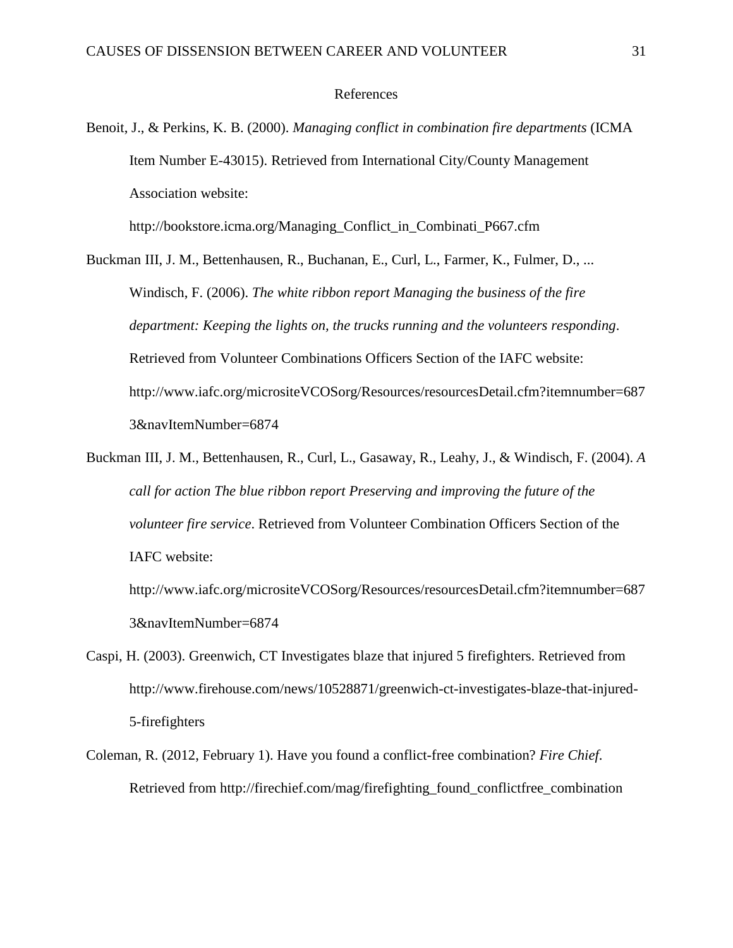#### References

Benoit, J., & Perkins, K. B. (2000). *Managing conflict in combination fire departments* (ICMA Item Number E-43015). Retrieved from International City/County Management Association website:

http://bookstore.icma.org/Managing\_Conflict\_in\_Combinati\_P667.cfm

Buckman III, J. M., Bettenhausen, R., Buchanan, E., Curl, L., Farmer, K., Fulmer, D., ... Windisch, F. (2006). *The white ribbon report Managing the business of the fire department: Keeping the lights on, the trucks running and the volunteers responding*. Retrieved from Volunteer Combinations Officers Section of the IAFC website: http://www.iafc.org/micrositeVCOSorg/Resources/resourcesDetail.cfm?itemnumber=687 3&navItemNumber=6874

Buckman III, J. M., Bettenhausen, R., Curl, L., Gasaway, R., Leahy, J., & Windisch, F. (2004). *A call for action The blue ribbon report Preserving and improving the future of the volunteer fire service*. Retrieved from Volunteer Combination Officers Section of the IAFC website:

http://www.iafc.org/micrositeVCOSorg/Resources/resourcesDetail.cfm?itemnumber=687 3&navItemNumber=6874

- Caspi, H. (2003). Greenwich, CT Investigates blaze that injured 5 firefighters. Retrieved from http://www.firehouse.com/news/10528871/greenwich-ct-investigates-blaze-that-injured-5-firefighters
- Coleman, R. (2012, February 1). Have you found a conflict-free combination? *Fire Chief*. Retrieved from http://firechief.com/mag/firefighting\_found\_conflictfree\_combination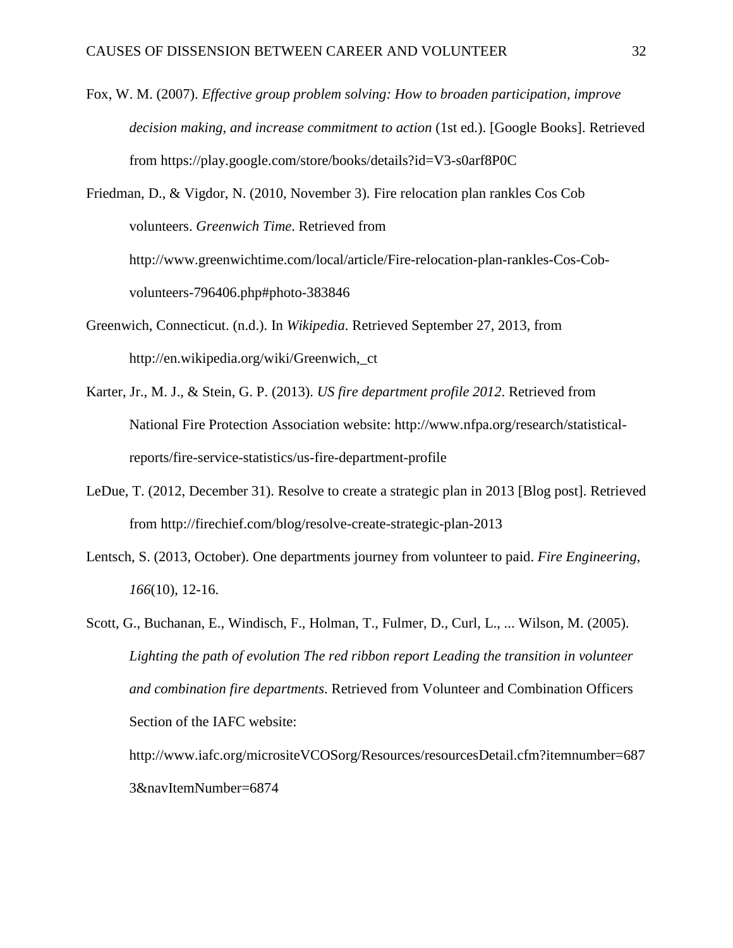Fox, W. M. (2007). *Effective group problem solving: How to broaden participation, improve decision making, and increase commitment to action* (1st ed.). [Google Books]. Retrieved from https://play.google.com/store/books/details?id=V3-s0arf8P0C

Friedman, D., & Vigdor, N. (2010, November 3). Fire relocation plan rankles Cos Cob volunteers. *Greenwich Time*. Retrieved from http://www.greenwichtime.com/local/article/Fire-relocation-plan-rankles-Cos-Cobvolunteers-796406.php#photo-383846

- Greenwich, Connecticut. (n.d.). In *Wikipedia*. Retrieved September 27, 2013, from http://en.wikipedia.org/wiki/Greenwich,\_ct
- Karter, Jr., M. J., & Stein, G. P. (2013). *US fire department profile 2012*. Retrieved from National Fire Protection Association website: http://www.nfpa.org/research/statisticalreports/fire-service-statistics/us-fire-department-profile
- LeDue, T. (2012, December 31). Resolve to create a strategic plan in 2013 [Blog post]. Retrieved from http://firechief.com/blog/resolve-create-strategic-plan-2013
- Lentsch, S. (2013, October). One departments journey from volunteer to paid. *Fire Engineering*, *166*(10), 12-16.

Scott, G., Buchanan, E., Windisch, F., Holman, T., Fulmer, D., Curl, L., ... Wilson, M. (2005). *Lighting the path of evolution The red ribbon report Leading the transition in volunteer and combination fire departments*. Retrieved from Volunteer and Combination Officers Section of the IAFC website: http://www.iafc.org/micrositeVCOSorg/Resources/resourcesDetail.cfm?itemnumber=687 3&navItemNumber=6874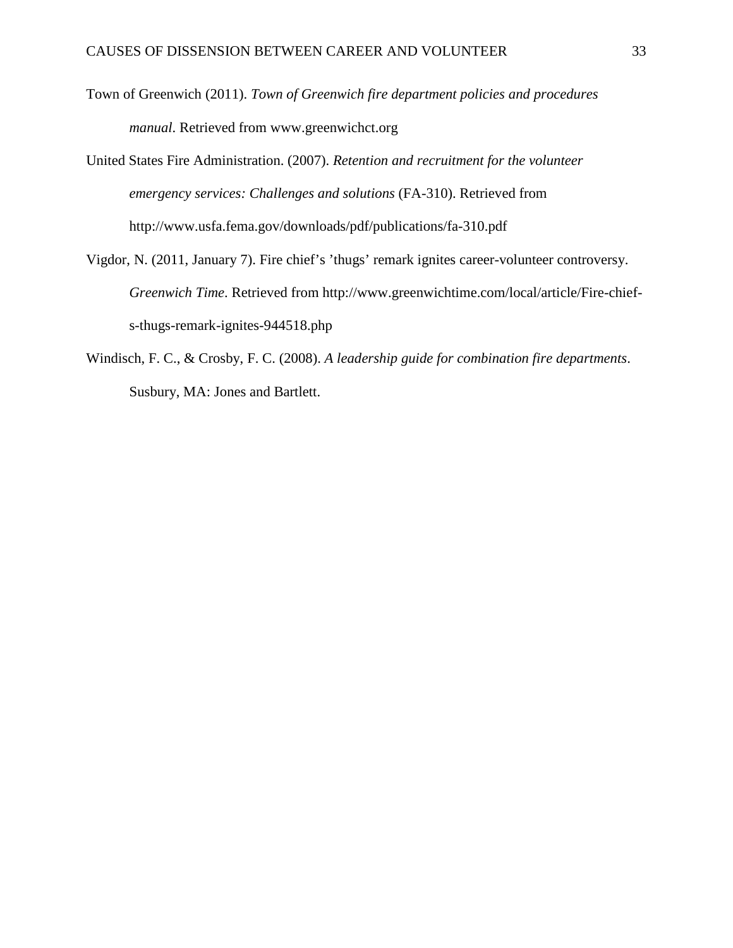- Town of Greenwich (2011). *Town of Greenwich fire department policies and procedures manual*. Retrieved from www.greenwichct.org
- United States Fire Administration. (2007). *Retention and recruitment for the volunteer emergency services: Challenges and solutions* (FA-310). Retrieved from http://www.usfa.fema.gov/downloads/pdf/publications/fa-310.pdf
- Vigdor, N. (2011, January 7). Fire chief's 'thugs' remark ignites career-volunteer controversy. *Greenwich Time*. Retrieved from http://www.greenwichtime.com/local/article/Fire-chiefs-thugs-remark-ignites-944518.php
- Windisch, F. C., & Crosby, F. C. (2008). *A leadership guide for combination fire departments*. Susbury, MA: Jones and Bartlett.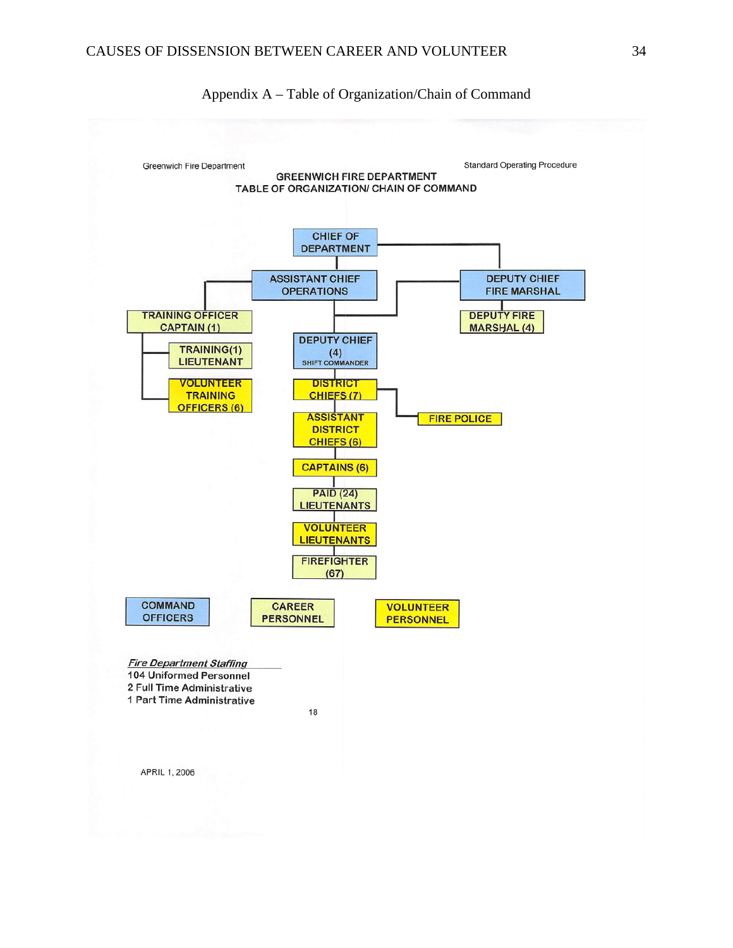

Appendix A – Table of Organization/Chain of Command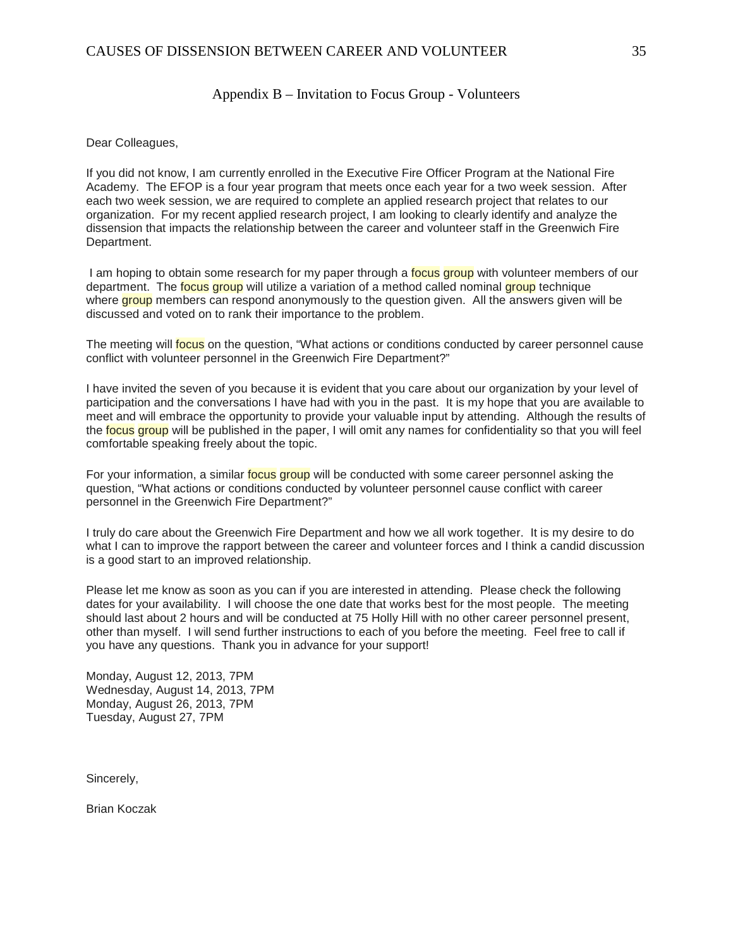#### Appendix B – Invitation to Focus Group - Volunteers

Dear Colleagues,

If you did not know, I am currently enrolled in the Executive Fire Officer Program at the National Fire Academy. The EFOP is a four year program that meets once each year for a two week session. After each two week session, we are required to complete an applied research project that relates to our organization. For my recent applied research project, I am looking to clearly identify and analyze the dissension that impacts the relationship between the career and volunteer staff in the Greenwich Fire Department.

I am hoping to obtain some research for my paper through a **focus group** with volunteer members of our department. The **focus group** will utilize a variation of a method called nominal group technique where **group** members can respond anonymously to the question given. All the answers given will be discussed and voted on to rank their importance to the problem.

The meeting will focus on the question, "What actions or conditions conducted by career personnel cause conflict with volunteer personnel in the Greenwich Fire Department?"

I have invited the seven of you because it is evident that you care about our organization by your level of participation and the conversations I have had with you in the past. It is my hope that you are available to meet and will embrace the opportunity to provide your valuable input by attending. Although the results of the focus group will be published in the paper. I will omit any names for confidentiality so that you will feel comfortable speaking freely about the topic.

For your information, a similar focus group will be conducted with some career personnel asking the question, "What actions or conditions conducted by volunteer personnel cause conflict with career personnel in the Greenwich Fire Department?"

I truly do care about the Greenwich Fire Department and how we all work together. It is my desire to do what I can to improve the rapport between the career and volunteer forces and I think a candid discussion is a good start to an improved relationship.

Please let me know as soon as you can if you are interested in attending. Please check the following dates for your availability. I will choose the one date that works best for the most people. The meeting should last about 2 hours and will be conducted at 75 Holly Hill with no other career personnel present, other than myself. I will send further instructions to each of you before the meeting. Feel free to call if you have any questions. Thank you in advance for your support!

Monday, August 12, 2013, 7PM Wednesday, August 14, 2013, 7PM Monday, August 26, 2013, 7PM Tuesday, August 27, 7PM

Sincerely,

Brian Koczak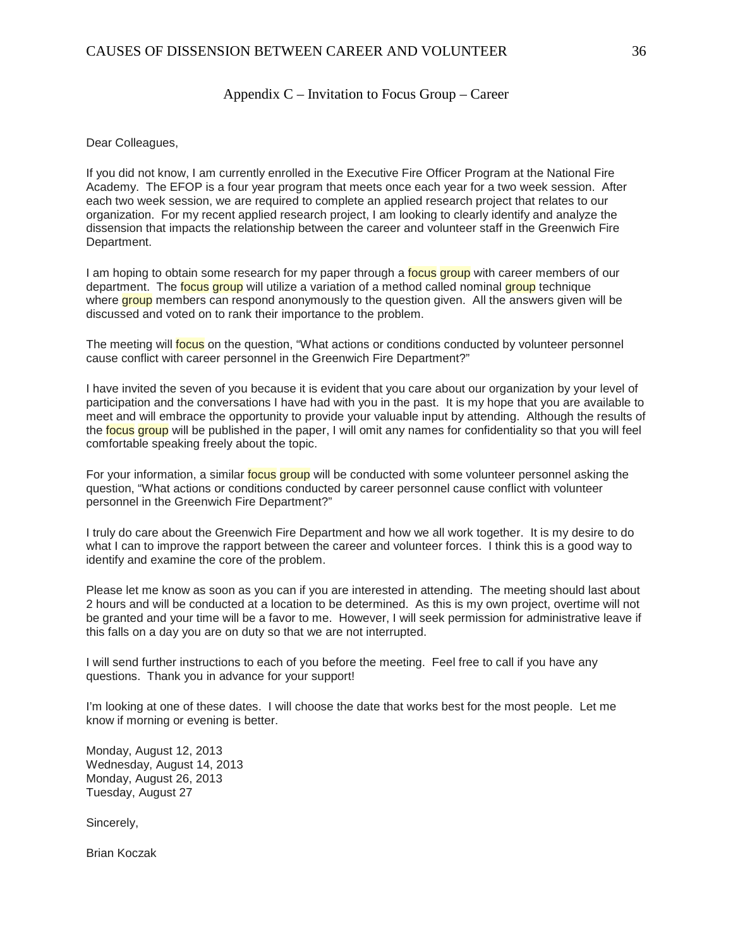#### Appendix C – Invitation to Focus Group – Career

Dear Colleagues,

If you did not know, I am currently enrolled in the Executive Fire Officer Program at the National Fire Academy. The EFOP is a four year program that meets once each year for a two week session. After each two week session, we are required to complete an applied research project that relates to our organization. For my recent applied research project, I am looking to clearly identify and analyze the dissension that impacts the relationship between the career and volunteer staff in the Greenwich Fire Department.

I am hoping to obtain some research for my paper through a focus group with career members of our department. The **focus group** will utilize a variation of a method called nominal group technique where group members can respond anonymously to the question given. All the answers given will be discussed and voted on to rank their importance to the problem.

The meeting will focus on the question, "What actions or conditions conducted by volunteer personnel cause conflict with career personnel in the Greenwich Fire Department?"

I have invited the seven of you because it is evident that you care about our organization by your level of participation and the conversations I have had with you in the past. It is my hope that you are available to meet and will embrace the opportunity to provide your valuable input by attending. Although the results of the focus group will be published in the paper. I will omit any names for confidentiality so that you will feel comfortable speaking freely about the topic.

For your information, a similar focus group will be conducted with some volunteer personnel asking the question, "What actions or conditions conducted by career personnel cause conflict with volunteer personnel in the Greenwich Fire Department?"

I truly do care about the Greenwich Fire Department and how we all work together. It is my desire to do what I can to improve the rapport between the career and volunteer forces. I think this is a good way to identify and examine the core of the problem.

Please let me know as soon as you can if you are interested in attending. The meeting should last about 2 hours and will be conducted at a location to be determined. As this is my own project, overtime will not be granted and your time will be a favor to me. However, I will seek permission for administrative leave if this falls on a day you are on duty so that we are not interrupted.

I will send further instructions to each of you before the meeting. Feel free to call if you have any questions. Thank you in advance for your support!

I'm looking at one of these dates. I will choose the date that works best for the most people. Let me know if morning or evening is better.

Monday, August 12, 2013 Wednesday, August 14, 2013 Monday, August 26, 2013 Tuesday, August 27

Sincerely,

Brian Koczak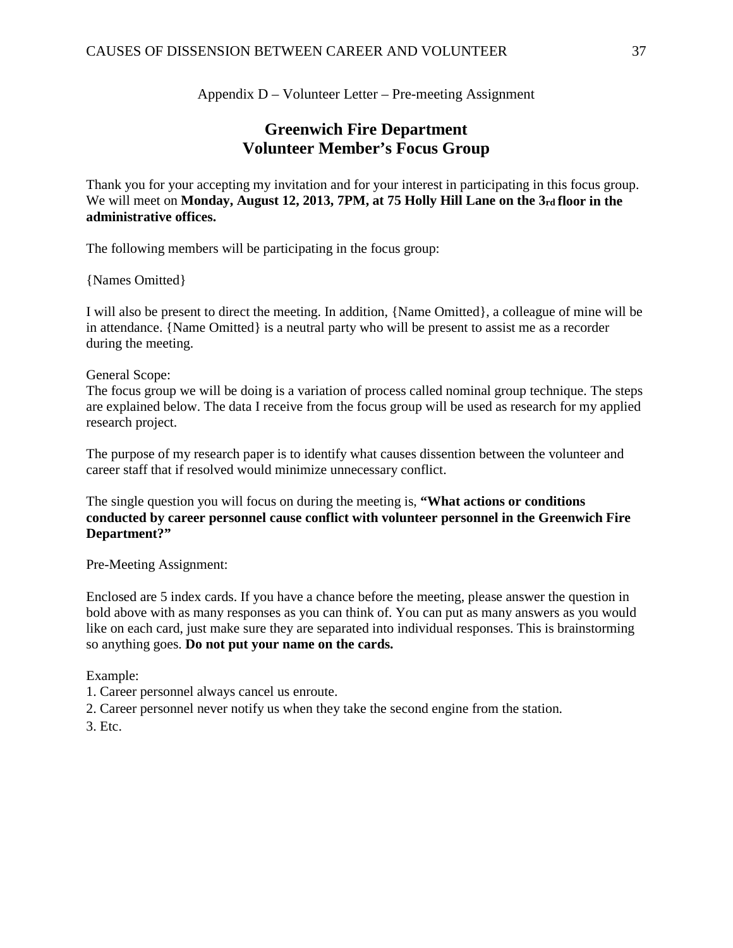Appendix D – Volunteer Letter – Pre-meeting Assignment

## **Greenwich Fire Department Volunteer Member's Focus Group**

Thank you for your accepting my invitation and for your interest in participating in this focus group. We will meet on **Monday, August 12, 2013, 7PM, at 75 Holly Hill Lane on the 3rd floor in the administrative offices.** 

The following members will be participating in the focus group:

{Names Omitted}

I will also be present to direct the meeting. In addition, {Name Omitted}, a colleague of mine will be in attendance. {Name Omitted} is a neutral party who will be present to assist me as a recorder during the meeting.

#### General Scope:

The focus group we will be doing is a variation of process called nominal group technique. The steps are explained below. The data I receive from the focus group will be used as research for my applied research project.

The purpose of my research paper is to identify what causes dissention between the volunteer and career staff that if resolved would minimize unnecessary conflict.

The single question you will focus on during the meeting is, **"What actions or conditions conducted by career personnel cause conflict with volunteer personnel in the Greenwich Fire Department?"** 

Pre-Meeting Assignment:

Enclosed are 5 index cards. If you have a chance before the meeting, please answer the question in bold above with as many responses as you can think of. You can put as many answers as you would like on each card, just make sure they are separated into individual responses. This is brainstorming so anything goes. **Do not put your name on the cards.** 

Example:

1. Career personnel always cancel us enroute.

2. Career personnel never notify us when they take the second engine from the station.

3. Etc.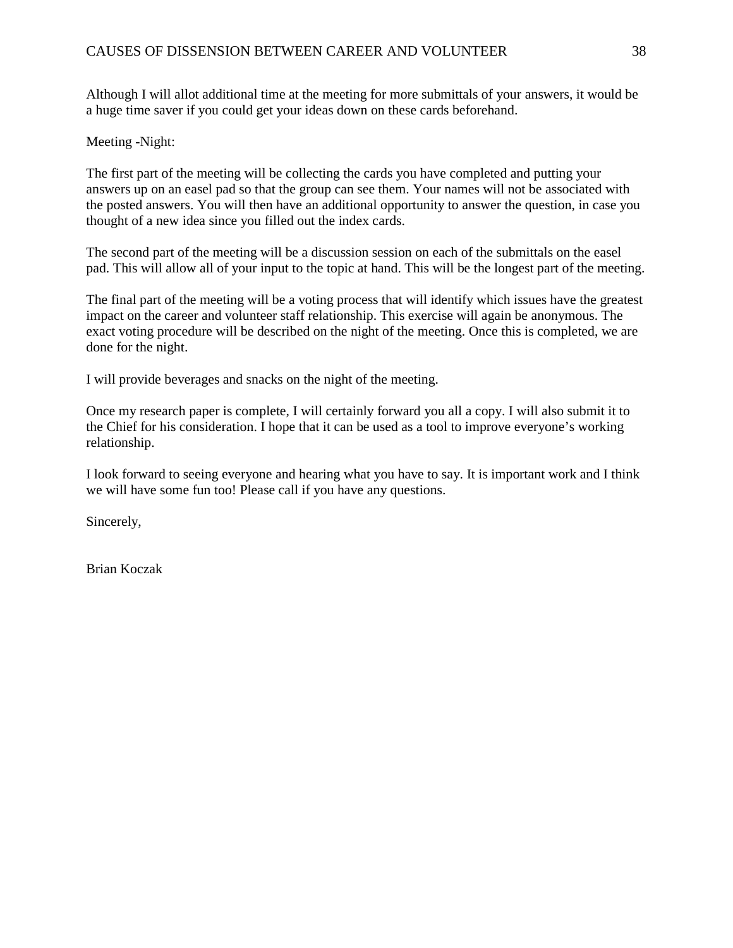Although I will allot additional time at the meeting for more submittals of your answers, it would be a huge time saver if you could get your ideas down on these cards beforehand.

Meeting -Night:

The first part of the meeting will be collecting the cards you have completed and putting your answers up on an easel pad so that the group can see them. Your names will not be associated with the posted answers. You will then have an additional opportunity to answer the question, in case you thought of a new idea since you filled out the index cards.

The second part of the meeting will be a discussion session on each of the submittals on the easel pad. This will allow all of your input to the topic at hand. This will be the longest part of the meeting.

The final part of the meeting will be a voting process that will identify which issues have the greatest impact on the career and volunteer staff relationship. This exercise will again be anonymous. The exact voting procedure will be described on the night of the meeting. Once this is completed, we are done for the night.

I will provide beverages and snacks on the night of the meeting.

Once my research paper is complete, I will certainly forward you all a copy. I will also submit it to the Chief for his consideration. I hope that it can be used as a tool to improve everyone's working relationship.

I look forward to seeing everyone and hearing what you have to say. It is important work and I think we will have some fun too! Please call if you have any questions.

Sincerely,

Brian Koczak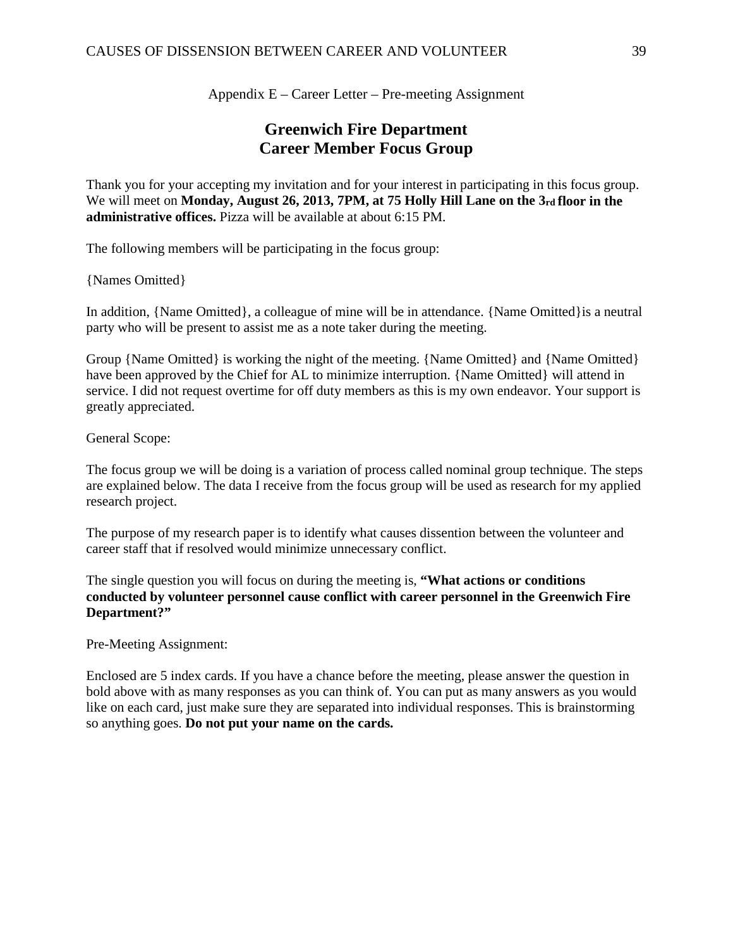Appendix E – Career Letter – Pre-meeting Assignment

## **Greenwich Fire Department Career Member Focus Group**

Thank you for your accepting my invitation and for your interest in participating in this focus group. We will meet on **Monday, August 26, 2013, 7PM, at 75 Holly Hill Lane on the 3rd floor in the administrative offices.** Pizza will be available at about 6:15 PM.

The following members will be participating in the focus group:

{Names Omitted}

In addition, {Name Omitted}, a colleague of mine will be in attendance. {Name Omitted}is a neutral party who will be present to assist me as a note taker during the meeting.

Group {Name Omitted} is working the night of the meeting. {Name Omitted} and {Name Omitted} have been approved by the Chief for AL to minimize interruption. {Name Omitted} will attend in service. I did not request overtime for off duty members as this is my own endeavor. Your support is greatly appreciated.

General Scope:

The focus group we will be doing is a variation of process called nominal group technique. The steps are explained below. The data I receive from the focus group will be used as research for my applied research project.

The purpose of my research paper is to identify what causes dissention between the volunteer and career staff that if resolved would minimize unnecessary conflict.

The single question you will focus on during the meeting is, **"What actions or conditions conducted by volunteer personnel cause conflict with career personnel in the Greenwich Fire Department?"**

Pre-Meeting Assignment:

Enclosed are 5 index cards. If you have a chance before the meeting, please answer the question in bold above with as many responses as you can think of. You can put as many answers as you would like on each card, just make sure they are separated into individual responses. This is brainstorming so anything goes. **Do not put your name on the cards.**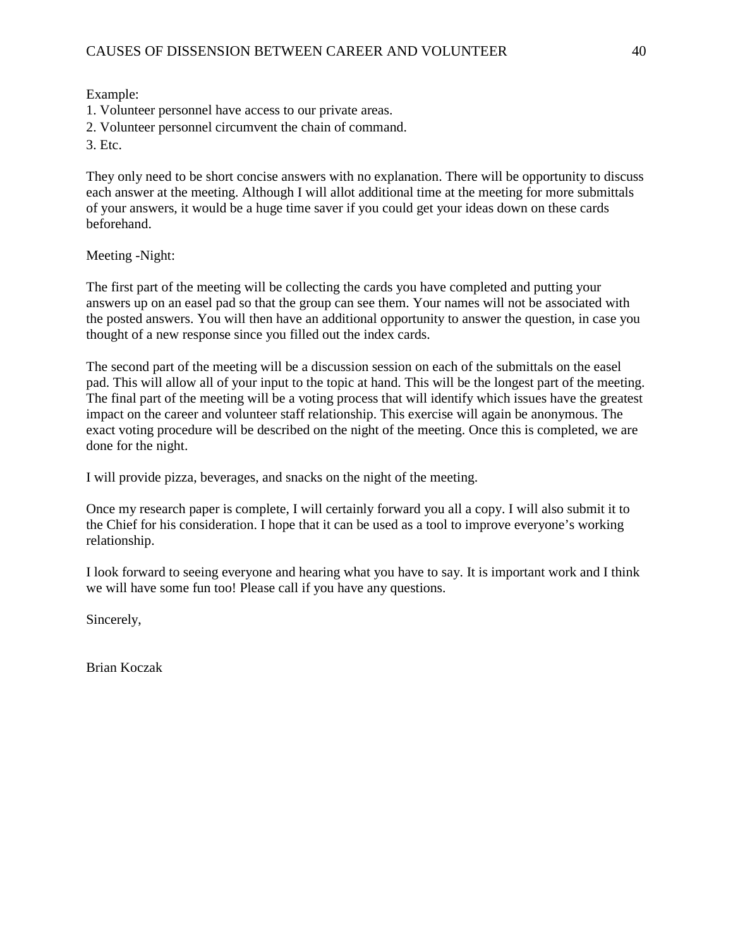Example:

1. Volunteer personnel have access to our private areas.

2. Volunteer personnel circumvent the chain of command.

3. Etc.

They only need to be short concise answers with no explanation. There will be opportunity to discuss each answer at the meeting. Although I will allot additional time at the meeting for more submittals of your answers, it would be a huge time saver if you could get your ideas down on these cards beforehand.

Meeting -Night:

The first part of the meeting will be collecting the cards you have completed and putting your answers up on an easel pad so that the group can see them. Your names will not be associated with the posted answers. You will then have an additional opportunity to answer the question, in case you thought of a new response since you filled out the index cards.

The second part of the meeting will be a discussion session on each of the submittals on the easel pad. This will allow all of your input to the topic at hand. This will be the longest part of the meeting. The final part of the meeting will be a voting process that will identify which issues have the greatest impact on the career and volunteer staff relationship. This exercise will again be anonymous. The exact voting procedure will be described on the night of the meeting. Once this is completed, we are done for the night.

I will provide pizza, beverages, and snacks on the night of the meeting.

Once my research paper is complete, I will certainly forward you all a copy. I will also submit it to the Chief for his consideration. I hope that it can be used as a tool to improve everyone's working relationship.

I look forward to seeing everyone and hearing what you have to say. It is important work and I think we will have some fun too! Please call if you have any questions.

Sincerely,

Brian Koczak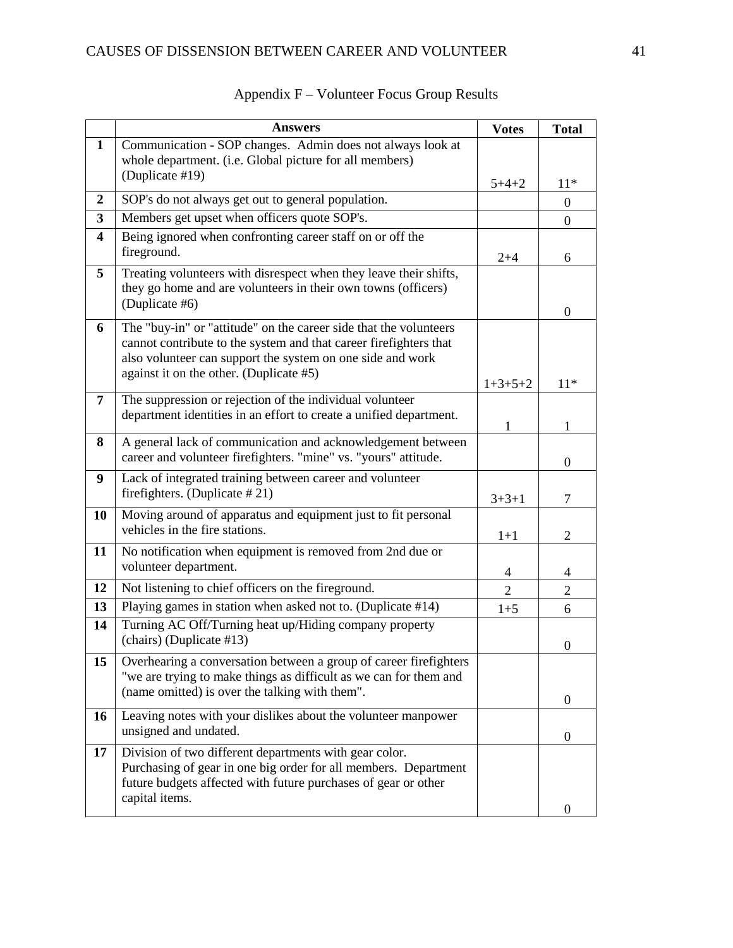|                         | <b>Answers</b>                                                                                                                                                                                                                                  | <b>Votes</b>   | <b>Total</b>     |
|-------------------------|-------------------------------------------------------------------------------------------------------------------------------------------------------------------------------------------------------------------------------------------------|----------------|------------------|
| $\mathbf{1}$            | Communication - SOP changes. Admin does not always look at<br>whole department. (i.e. Global picture for all members)<br>(Duplicate #19)                                                                                                        |                |                  |
| $\boldsymbol{2}$        | SOP's do not always get out to general population.                                                                                                                                                                                              | $5 + 4 + 2$    | $11*$            |
| 3                       | Members get upset when officers quote SOP's.                                                                                                                                                                                                    |                | $\overline{0}$   |
| $\overline{\mathbf{4}}$ | Being ignored when confronting career staff on or off the                                                                                                                                                                                       |                | $\overline{0}$   |
|                         | fireground.                                                                                                                                                                                                                                     | $2 + 4$        | 6                |
| $\overline{5}$          | Treating volunteers with disrespect when they leave their shifts,<br>they go home and are volunteers in their own towns (officers)<br>(Duplicate #6)                                                                                            |                | 0                |
| 6                       | The "buy-in" or "attitude" on the career side that the volunteers<br>cannot contribute to the system and that career firefighters that<br>also volunteer can support the system on one side and work<br>against it on the other. (Duplicate #5) | $1+3+5+2$      | $11*$            |
| 7                       | The suppression or rejection of the individual volunteer<br>department identities in an effort to create a unified department.                                                                                                                  | 1              | 1                |
| 8                       | A general lack of communication and acknowledgement between<br>career and volunteer firefighters. "mine" vs. "yours" attitude.                                                                                                                  |                | $\boldsymbol{0}$ |
| 9                       | Lack of integrated training between career and volunteer<br>firefighters. (Duplicate $#21$ )                                                                                                                                                    | $3+3+1$        | 7                |
| 10                      | Moving around of apparatus and equipment just to fit personal<br>vehicles in the fire stations.                                                                                                                                                 | $1+1$          | $\overline{2}$   |
| 11                      | No notification when equipment is removed from 2nd due or<br>volunteer department.                                                                                                                                                              | 4              | 4                |
| 12                      | Not listening to chief officers on the fireground.                                                                                                                                                                                              | $\overline{2}$ | $\overline{2}$   |
| 13                      | Playing games in station when asked not to. (Duplicate #14)                                                                                                                                                                                     | $1 + 5$        | 6                |
| 14                      | Turning AC Off/Turning heat up/Hiding company property<br>(chairs) (Duplicate #13)                                                                                                                                                              |                | $\boldsymbol{0}$ |
| 15                      | Overhearing a conversation between a group of career firefighters<br>"we are trying to make things as difficult as we can for them and<br>(name omitted) is over the talking with them".                                                        |                | $\boldsymbol{0}$ |
| 16                      | Leaving notes with your dislikes about the volunteer manpower<br>unsigned and undated.                                                                                                                                                          |                | $\overline{0}$   |
| 17                      | Division of two different departments with gear color.<br>Purchasing of gear in one big order for all members. Department<br>future budgets affected with future purchases of gear or other<br>capital items.                                   |                | 0                |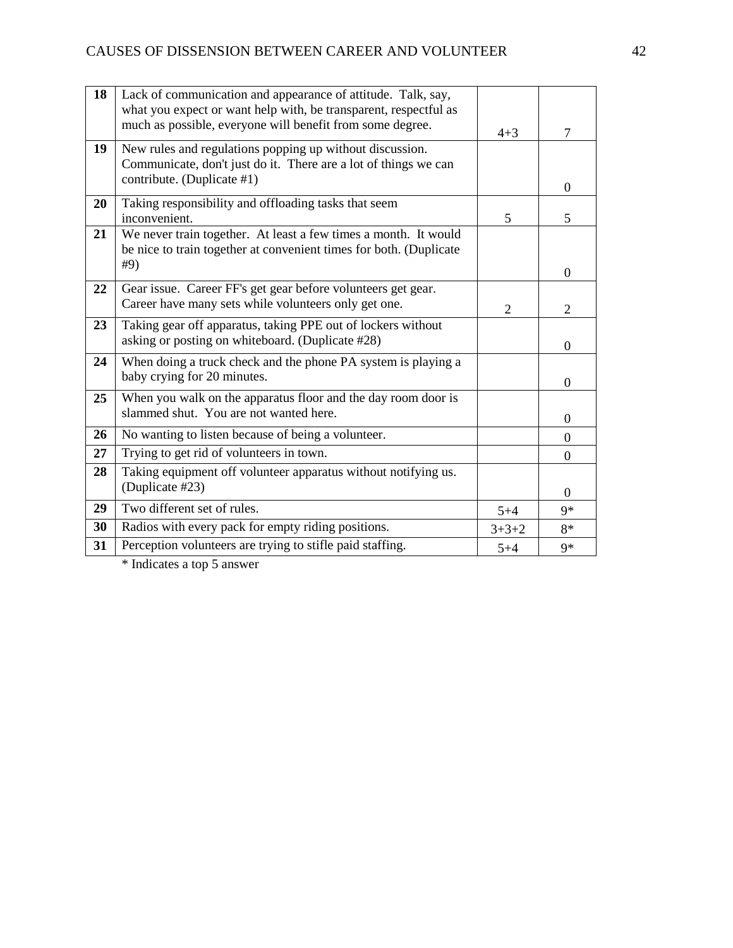| 18 | Lack of communication and appearance of attitude. Talk, say,<br>what you expect or want help with, be transparent, respectful as<br>much as possible, everyone will benefit from some degree. | $4 + 3$ |                |
|----|-----------------------------------------------------------------------------------------------------------------------------------------------------------------------------------------------|---------|----------------|
|    |                                                                                                                                                                                               |         | 7              |
| 19 | New rules and regulations popping up without discussion.<br>Communicate, don't just do it. There are a lot of things we can<br>contribute. (Duplicate #1)                                     |         | $\Omega$       |
| 20 | Taking responsibility and offloading tasks that seem<br>inconvenient.                                                                                                                         | 5       | 5              |
| 21 | We never train together. At least a few times a month. It would<br>be nice to train together at convenient times for both. (Duplicate<br>#9)                                                  |         |                |
|    |                                                                                                                                                                                               |         | $\Omega$       |
| 22 | Gear issue. Career FF's get gear before volunteers get gear.<br>Career have many sets while volunteers only get one.                                                                          | 2       | 2              |
| 23 | Taking gear off apparatus, taking PPE out of lockers without<br>asking or posting on whiteboard. (Duplicate #28)                                                                              |         | $\theta$       |
| 24 | When doing a truck check and the phone PA system is playing a<br>baby crying for 20 minutes.                                                                                                  |         | $\theta$       |
| 25 | When you walk on the apparatus floor and the day room door is<br>slammed shut. You are not wanted here.                                                                                       |         | $\theta$       |
| 26 | No wanting to listen because of being a volunteer.                                                                                                                                            |         | $\Omega$       |
| 27 | Trying to get rid of volunteers in town.                                                                                                                                                      |         | $\Omega$       |
| 28 | Taking equipment off volunteer apparatus without notifying us.<br>(Duplicate #23)                                                                                                             |         | $\overline{0}$ |
| 29 | Two different set of rules.                                                                                                                                                                   | $5 + 4$ | $9*$           |
| 30 | Radios with every pack for empty riding positions.                                                                                                                                            | $3+3+2$ | 8*             |
| 31 | Perception volunteers are trying to stifle paid staffing.                                                                                                                                     | $5 + 4$ | $9*$           |
|    |                                                                                                                                                                                               |         |                |

\* Indicates a top 5 answer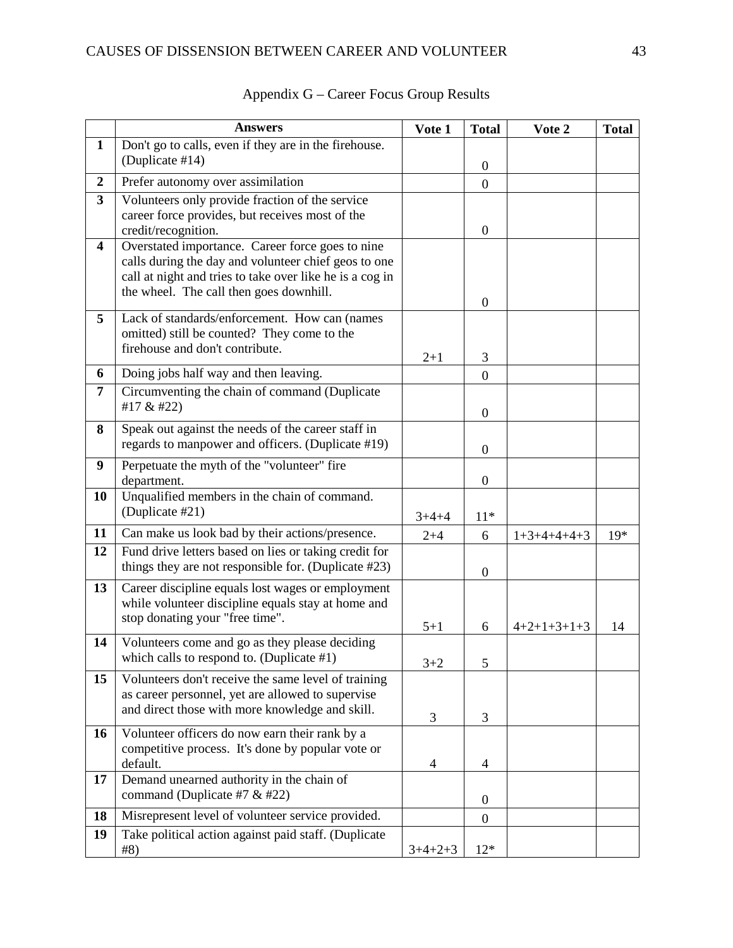|                  | <b>Answers</b>                                                                                          | Vote 1    | <b>Total</b>     | Vote 2        | <b>Total</b> |
|------------------|---------------------------------------------------------------------------------------------------------|-----------|------------------|---------------|--------------|
| $\mathbf{1}$     | Don't go to calls, even if they are in the firehouse.                                                   |           |                  |               |              |
|                  | (Duplicate #14)                                                                                         |           | $\boldsymbol{0}$ |               |              |
| $\boldsymbol{2}$ | Prefer autonomy over assimilation                                                                       |           | $\boldsymbol{0}$ |               |              |
| 3                | Volunteers only provide fraction of the service                                                         |           |                  |               |              |
|                  | career force provides, but receives most of the                                                         |           |                  |               |              |
| 4                | credit/recognition.<br>Overstated importance. Career force goes to nine                                 |           | $\boldsymbol{0}$ |               |              |
|                  | calls during the day and volunteer chief geos to one                                                    |           |                  |               |              |
|                  | call at night and tries to take over like he is a cog in                                                |           |                  |               |              |
|                  | the wheel. The call then goes downhill.                                                                 |           |                  |               |              |
| 5                | Lack of standards/enforcement. How can (names                                                           |           | $\boldsymbol{0}$ |               |              |
|                  | omitted) still be counted? They come to the                                                             |           |                  |               |              |
|                  | firehouse and don't contribute.                                                                         |           |                  |               |              |
|                  |                                                                                                         | $2 + 1$   | 3                |               |              |
| 6                | Doing jobs half way and then leaving.<br>Circumventing the chain of command (Duplicate                  |           | $\boldsymbol{0}$ |               |              |
| 7                | #17 & #22)                                                                                              |           |                  |               |              |
|                  |                                                                                                         |           | $\boldsymbol{0}$ |               |              |
| 8                | Speak out against the needs of the career staff in<br>regards to manpower and officers. (Duplicate #19) |           |                  |               |              |
|                  |                                                                                                         |           | $\boldsymbol{0}$ |               |              |
| 9                | Perpetuate the myth of the "volunteer" fire<br>department.                                              |           | $\boldsymbol{0}$ |               |              |
| 10               | Unqualified members in the chain of command.                                                            |           |                  |               |              |
|                  | (Duplicate #21)                                                                                         | $3+4+4$   | $11*$            |               |              |
| 11               | Can make us look bad by their actions/presence.                                                         | $2 + 4$   | 6                | $1+3+4+4+4+3$ | $19*$        |
| 12               | Fund drive letters based on lies or taking credit for                                                   |           |                  |               |              |
|                  | things they are not responsible for. (Duplicate #23)                                                    |           | $\boldsymbol{0}$ |               |              |
| 13               | Career discipline equals lost wages or employment                                                       |           |                  |               |              |
|                  | while volunteer discipline equals stay at home and                                                      |           |                  |               |              |
|                  | stop donating your "free time".                                                                         | $5 + 1$   | 6                | $4+2+1+3+1+3$ | 14           |
| 14               | Volunteers come and go as they please deciding                                                          |           |                  |               |              |
|                  | which calls to respond to. (Duplicate #1)                                                               | $3 + 2$   | 5                |               |              |
| 15               | Volunteers don't receive the same level of training                                                     |           |                  |               |              |
|                  | as career personnel, yet are allowed to supervise                                                       |           |                  |               |              |
|                  | and direct those with more knowledge and skill.                                                         | 3         | 3                |               |              |
| 16               | Volunteer officers do now earn their rank by a                                                          |           |                  |               |              |
|                  | competitive process. It's done by popular vote or                                                       |           |                  |               |              |
|                  | default.                                                                                                | 4         | $\overline{4}$   |               |              |
| 17               | Demand unearned authority in the chain of<br>command (Duplicate #7 $&$ #22)                             |           |                  |               |              |
| 18               | Misrepresent level of volunteer service provided.                                                       |           | $\boldsymbol{0}$ |               |              |
| 19               | Take political action against paid staff. (Duplicate                                                    |           | $\boldsymbol{0}$ |               |              |
|                  | #8)                                                                                                     | $3+4+2+3$ | $12*$            |               |              |

## Appendix G – Career Focus Group Results